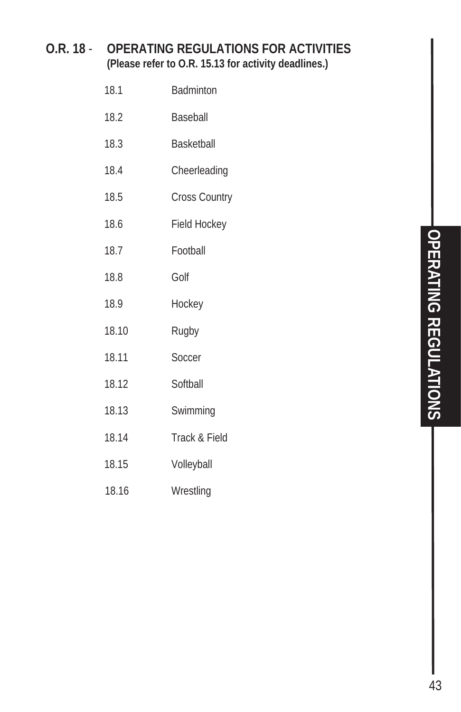#### **O.R. 18** - **OPERATING REGULATIONS FOR ACTIVITIES (Please refer to O.R. 15.13 for activity deadlines.)**

| 18.1  | <b>Badminton</b>     |
|-------|----------------------|
| 18.2  | Baseball             |
| 18.3  | <b>Basketball</b>    |
| 18.4  | Cheerleading         |
| 18.5  | <b>Cross Country</b> |
| 18.6  | Field Hockey         |
| 18.7  | Football             |
| 18.8  | Golf                 |
| 18.9  | Hockey               |
| 18.10 | Rugby                |
| 18.11 | Soccer               |
| 18.12 | Softball             |
| 18.13 | Swimming             |
| 18.14 | Track & Field        |
| 18.15 | Volleyball           |
|       |                      |

18.16 Wrestling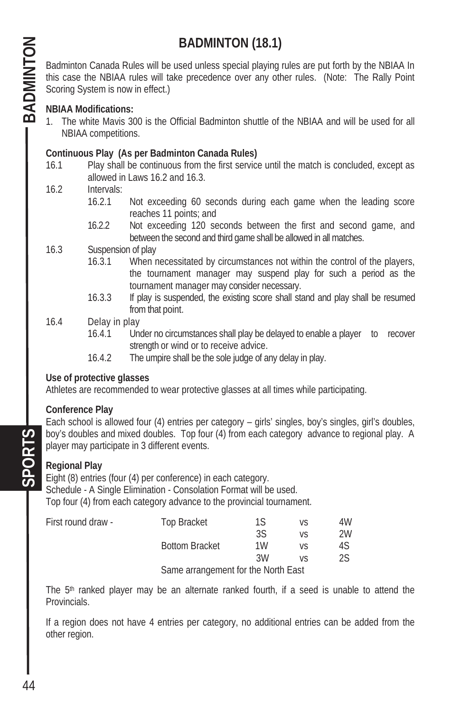# **BADMINTON (18.1)**

Badminton Canada Rules will be used unless special playing rules are put forth by the NBIAA In this case the NBIAA rules will take precedence over any other rules. (Note: The Rally Point Scoring System is now in effect.)

#### **NBIAA Modifications:**

1. The white Mavis 300 is the Official Badminton shuttle of the NBIAA and will be used for all NBIAA competitions.

#### **Continuous Play (As per Badminton Canada Rules)**

- 16.1 Play shall be continuous from the first service until the match is concluded, except as allowed in Laws 16.2 and 16.3.
- 16.2 Intervals:
	- 16.2.1 Not exceeding 60 seconds during each game when the leading score reaches 11 points; and
	- 16.2.2 Not exceeding 120 seconds between the first and second game, and between the second and third game shall be allowed in all matches.
- 16.3Suspension of play
	- 16.3.1 When necessitated by circumstances not within the control of the players, the tournament manager may suspend play for such a period as the tournament manager may consider necessary.
	- 16.3.3 If play is suspended, the existing score shall stand and play shall be resumed from that point.
- 16.4 Delay in play
	- 16.4.1 Under no circumstances shall play be delayed to enable a player to recover strength or wind or to receive advice.
	- 16.4.2 The umpire shall be the sole judge of any delay in play.

#### **Use of protective glasses**

Athletes are recommended to wear protective glasses at all times while participating.

#### **Conference Play**

Each school is allowed four (4) entries per category – girls' singles, boy's singles, girl's doubles, boy's doubles and mixed doubles. Top four (4) from each category advance to regional play. A player may participate in 3 different events.

#### **Regional Play**

Eight (8) entries (four (4) per conference) in each category.

Schedule - A Single Elimination - Consolation Format will be used.

Top four (4) from each category advance to the provincial tournament.

| First round draw - | <b>Top Bracket</b>                  | 1S | VS | 4W |
|--------------------|-------------------------------------|----|----|----|
|                    |                                     | 3S | VS | 2W |
|                    | <b>Bottom Bracket</b>               | 1W | VS | 4S |
|                    |                                     | ЗW | V۲ | 2S |
|                    | Samo arrangement for the North East |    |    |    |

Same arrangement for the North East

The  $5<sup>th</sup>$  ranked player may be an alternate ranked fourth, if a seed is unable to attend the Provincials.

If a region does not have 4 entries per category, no additional entries can be added from the other region.

 $SPOR$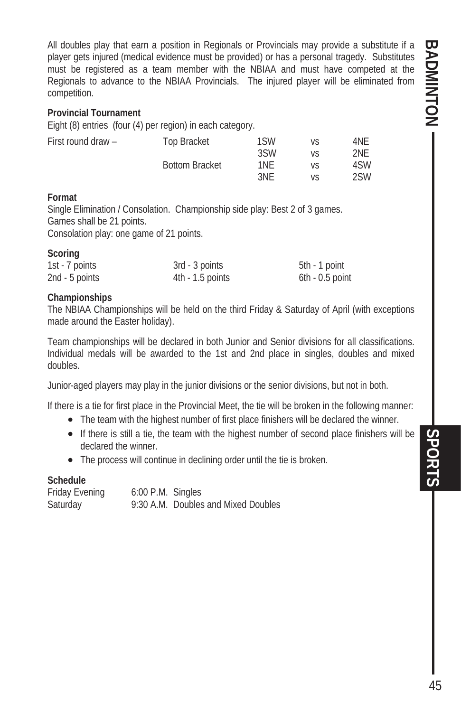**BADMINTON -**BADMINTON SPORTS **SPORTS** 

All doubles play that earn a position in Regionals or Provincials may provide a substitute if a player gets injured (medical evidence must be provided) or has a personal tragedy. Substitutes must be registered as a team member with the NBIAA and must have competed at the Regionals to advance to the NBIAA Provincials. The injured player will be eliminated from competition.

#### **Provincial Tournament**

Eight (8) entries (four (4) per region) in each category.

| First round draw - | Top Bracket           | 1SW | VS | 4NE |
|--------------------|-----------------------|-----|----|-----|
|                    |                       | 3SW | VS | 2NE |
|                    | <b>Bottom Bracket</b> | 1NE | VS | 4SW |
|                    |                       | 3NF | V۲ | 2SW |

#### **Format**

**Scoring** 

Single Elimination / Consolation. Championship side play: Best 2 of 3 games. Games shall be 21 points.

Consolation play: one game of 21 points.

| $-0001114$     |                    |                   |
|----------------|--------------------|-------------------|
| 1st - 7 points | 3rd - 3 points     | 5th - 1 point     |
| 2nd - 5 points | $4th - 1.5$ points | $6th - 0.5$ point |

#### **Championships**

The NBIAA Championships will be held on the third Friday & Saturday of April (with exceptions made around the Easter holiday).

Team championships will be declared in both Junior and Senior divisions for all classifications. Individual medals will be awarded to the 1st and 2nd place in singles, doubles and mixed doubles.

Junior-aged players may play in the junior divisions or the senior divisions, but not in both.

If there is a tie for first place in the Provincial Meet, the tie will be broken in the following manner:

- The team with the highest number of first place finishers will be declared the winner.
- If there is still a tie, the team with the highest number of second place finishers will be declared the winner.
- The process will continue in declining order until the tie is broken.

#### **Schedule**

Friday Evening 6:00 P.M. Singles Saturday 9:30 A.M. Doubles and Mixed Doubles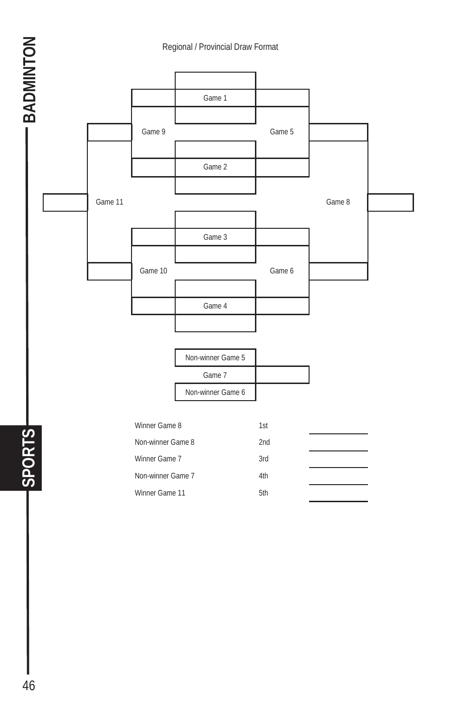

- BADMINTON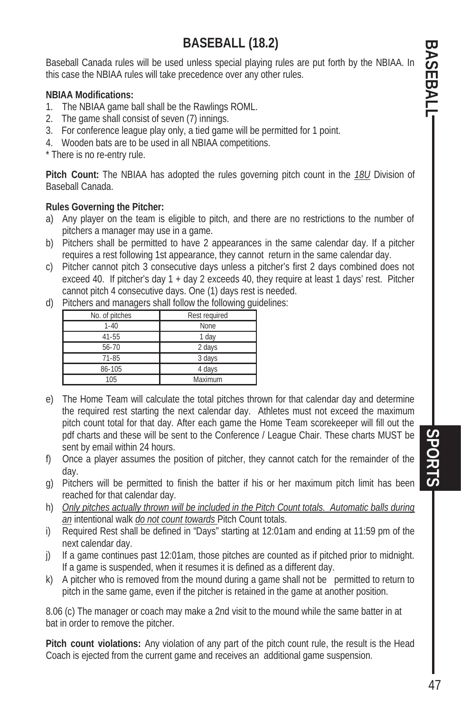# **BASEBALL (18.2)**

Baseball Canada rules will be used unless special playing rules are put forth by the NBIAA. In this case the NBIAA rules will take precedence over any other rules.

#### **NBIAA Modifications:**

- 1. The NBIAA game ball shall be the Rawlings ROML.
- 2. The game shall consist of seven (7) innings.
- 3. For conference league play only, a tied game will be permitted for 1 point.
- 4. Wooden bats are to be used in all NBIAA competitions.

\* There is no re-entry rule.

**Pitch Count:** The NBIAA has adopted the rules governing pitch count in the *18U* Division of Baseball Canada.

#### **Rules Governing the Pitcher:**

- a) Any player on the team is eligible to pitch, and there are no restrictions to the number of pitchers a manager may use in a game.
- b) Pitchers shall be permitted to have 2 appearances in the same calendar day. If a pitcher requires a rest following 1st appearance, they cannot return in the same calendar day.
- c) Pitcher cannot pitch 3 consecutive days unless a pitcher's first 2 days combined does not exceed 40. If pitcher's day 1 + day 2 exceeds 40, they require at least 1 days' rest. Pitcher cannot pitch 4 consecutive days. One (1) days rest is needed.
- d) Pitchers and managers shall follow the following guidelines:

| <u>ວ ວ</u>     |               |  |
|----------------|---------------|--|
| No. of pitches | Rest required |  |
| $1 - 40$       | None          |  |
| $41 - 55$      | 1 day         |  |
| 56-70          | 2 days        |  |
| 71-85          | 3 days        |  |
| 86-105         | 4 days        |  |
| 105            | Maximum       |  |

- e) The Home Team will calculate the total pitches thrown for that calendar day and determine the required rest starting the next calendar day. Athletes must not exceed the maximum pitch count total for that day. After each game the Home Team scorekeeper will fill out the pdf charts and these will be sent to the Conference / League Chair. These charts MUST be sent by email within 24 hours.
- f) Once a player assumes the position of pitcher, they cannot catch for the remainder of the day.
- g) Pitchers will be permitted to finish the batter if his or her maximum pitch limit has been reached for that calendar day.
- h) *Only pitches actually thrown will be included in the Pitch Count totals. Automatic balls during an* intentional walk *do not count towards* Pitch Count totals.
- i) Required Rest shall be defined in "Days" starting at 12:01am and ending at 11:59 pm of the next calendar day.
- j) If a game continues past 12:01am, those pitches are counted as if pitched prior to midnight. If a game is suspended, when it resumes it is defined as a different day.
- k) A pitcher who is removed from the mound during a game shall not be permitted to return to pitch in the same game, even if the pitcher is retained in the game at another position.

8.06 (c) The manager or coach may make a 2nd visit to the mound while the same batter in at bat in order to remove the pitcher.

**Pitch count violations:** Any violation of any part of the pitch count rule, the result is the Head Coach is ejected from the current game and receives an additional game suspension.

**BASEBALL**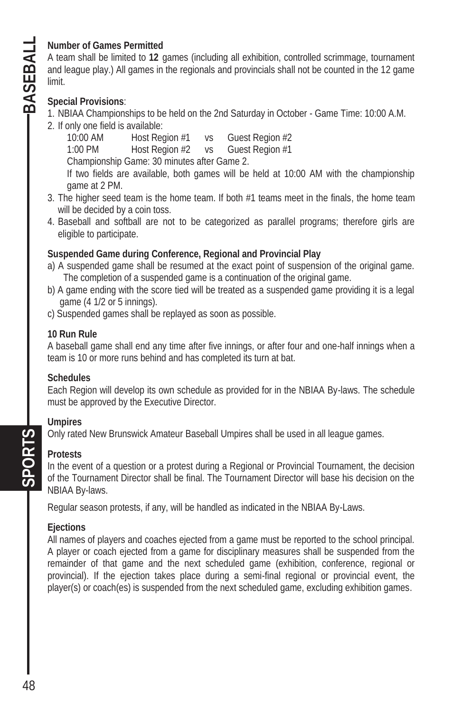#### **Number of Games Permitted**

A team shall be limited to **12** games (including all exhibition, controlled scrimmage, tournament and league play.) All games in the regionals and provincials shall not be counted in the 12 game limit.

#### **Special Provisions**:

- 1. NBIAA Championships to be held on the 2nd Saturday in October Game Time: 10:00 A.M.
- 2. If only one field is available:

10:00 AM Host Region #1 vs Guest Region #2 1:00 PM Host Region #2 vs Guest Region #1 Championship Game: 30 minutes after Game 2. If two fields are available, both games will be held at 10:00 AM with the championship game at 2 PM.

- 3. The higher seed team is the home team. If both #1 teams meet in the finals, the home team will be decided by a coin toss.
- 4. Baseball and softball are not to be categorized as parallel programs; therefore girls are eligible to participate.

#### **Suspended Game during Conference, Regional and Provincial Play**

- a) A suspended game shall be resumed at the exact point of suspension of the original game. The completion of a suspended game is a continuation of the original game.
- b) A game ending with the score tied will be treated as a suspended game providing it is a legal game (4 1/2 or 5 innings).
- c) Suspended games shall be replayed as soon as possible.

#### **10 Run Rule**

A baseball game shall end any time after five innings, or after four and one-half innings when a team is 10 or more runs behind and has completed its turn at bat.

#### **Schedules**

Each Region will develop its own schedule as provided for in the NBIAA By-laws. The schedule must be approved by the Executive Director.

#### **Umpires**

Only rated New Brunswick Amateur Baseball Umpires shall be used in all league games.

#### **Protests**

**SPORTS** 

In the event of a question or a protest during a Regional or Provincial Tournament, the decision of the Tournament Director shall be final. The Tournament Director will base his decision on the NBIAA By-laws.

Regular season protests, if any, will be handled as indicated in the NBIAA By-Laws.

#### **Ejections**

All names of players and coaches ejected from a game must be reported to the school principal. A player or coach ejected from a game for disciplinary measures shall be suspended from the remainder of that game and the next scheduled game (exhibition, conference, regional or provincial). If the ejection takes place during a semi-final regional or provincial event, the player(s) or coach(es) is suspended from the next scheduled game, excluding exhibition games.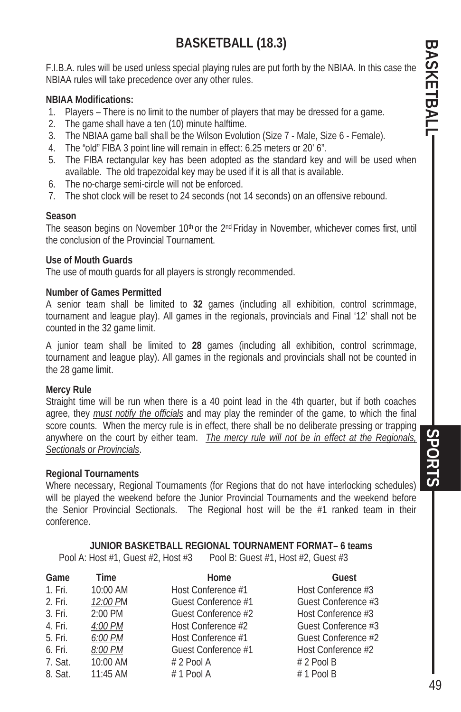# **BASKETBALL (18.3)**

F.I.B.A. rules will be used unless special playing rules are put forth by the NBIAA. In this case the NBIAA rules will take precedence over any other rules.

#### **NBIAA Modifications:**

- 1. Players There is no limit to the number of players that may be dressed for a game.
- 2. The game shall have a ten (10) minute halftime.
- 3. The NBIAA game ball shall be the Wilson Evolution (Size 7 Male, Size 6 Female).
- 4. The "old" FIBA 3 point line will remain in effect: 6.25 meters or 20' 6".
- 5. The FIBA rectangular key has been adopted as the standard key and will be used when available. The old trapezoidal key may be used if it is all that is available.
- 6. The no-charge semi-circle will not be enforced.
- 7. The shot clock will be reset to 24 seconds (not 14 seconds) on an offensive rebound.

#### **Season**

The season begins on November 10<sup>th</sup> or the 2<sup>nd</sup> Friday in November, whichever comes first, until the conclusion of the Provincial Tournament.

#### **Use of Mouth Guards**

The use of mouth guards for all players is strongly recommended.

#### **Number of Games Permitted**

A senior team shall be limited to **32** games (including all exhibition, control scrimmage, tournament and league play). All games in the regionals, provincials and Final '12' shall not be counted in the 32 game limit.

A junior team shall be limited to **28** games (including all exhibition, control scrimmage, tournament and league play). All games in the regionals and provincials shall not be counted in the 28 game limit.

#### **Mercy Rule**

Straight time will be run when there is a 40 point lead in the 4th quarter, but if both coaches agree, they *must notify the officials* and may play the reminder of the game, to which the final score counts. When the mercy rule is in effect, there shall be no deliberate pressing or trapping anywhere on the court by either team. *The mercy rule will not be in effect at the Regionals, Sectionals or Provincials*.

#### **Regional Tournaments**

Where necessary, Regional Tournaments (for Regions that do not have interlocking schedules) will be played the weekend before the Junior Provincial Tournaments and the weekend before the Senior Provincial Sectionals. The Regional host will be the #1 ranked team in their conference.

**JUNIOR BASKETBALL REGIONAL TOURNAMENT FORMAT– 6 teams**  Pool A: Host #1, Guest #2, Host #3 Pool B: Guest #1, Host #2, Guest #3

| Game    | Time       | Home                | Guest               |
|---------|------------|---------------------|---------------------|
| 1. Fri. | 10:00 AM   | Host Conference #1  | Host Conference #3  |
| 2. Fri. | 12:00 PM   | Guest Conference #1 | Guest Conference #3 |
| 3. Fri. | 2:00 PM    | Guest Conference #2 | Host Conference #3  |
| 4. Fri. | 4:00 PM    | Host Conference #2  | Guest Conference #3 |
| 5. Fri. | 6:00 PM    | Host Conference #1  | Guest Conference #2 |
| 6. Fri. | 8:00 PM    | Guest Conference #1 | Host Conference #2  |
| 7. Sat. | 10:00 AM   | # 2 Pool A          | $# 2$ Pool B        |
| 8. Sat. | $11:45$ AM | $# 1$ Pool A        | $# 1$ Pool B        |

**PORTS**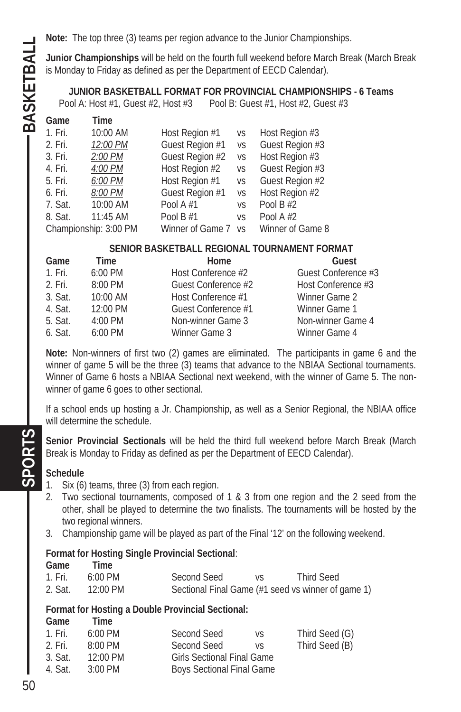**Junior Championships** will be held on the fourth full weekend before March Break (March Break is Monday to Friday as defined as per the Department of EECD Calendar).

**JUNIOR BASKETBALL FORMAT FOR PROVINCIAL CHAMPIONSHIPS - 6 Teams**  Pool A: Host #1, Guest #2, Host #3 Pool B: Guest #1, Host #2, Guest #3

| Time      |                       |                |                                           |
|-----------|-----------------------|----------------|-------------------------------------------|
| 10:00 AM  | Host Region #1        | VS             | Host Region #3                            |
| 12:00 PM  | Guest Region #1       |                | Guest Region #3                           |
| $2:00$ PM | Guest Region #2       |                | Host Region #3                            |
| 4:00 PM   | Host Region #2        | VS             | Guest Region #3                           |
| 6:00 PM   | Host Region #1        | VS             | Guest Region #2                           |
| 8:00 PM   | Guest Region #1       |                | Host Region #2                            |
| 10:00 AM  | Pool A $#1$           | V <sub>S</sub> | Pool B $#2$                               |
| 11:45 AM  | Pool B $#1$           | VS             | Pool A $#2$                               |
|           | Winner of Game 7      |                | Winner of Game 8                          |
|           | Championship: 3:00 PM |                | <b>VS</b><br>VS<br><b>VS</b><br><b>VS</b> |

#### **SENIOR BASKETBALL REGIONAL TOURNAMENT FORMAT**

| Game    | Time              | Home                | Guest               |
|---------|-------------------|---------------------|---------------------|
| 1. Fri. | $6:00$ PM         | Host Conference #2  | Guest Conference #3 |
| 2. Fri. | $8:00$ PM         | Guest Conference #2 | Host Conference #3  |
| 3. Sat. | $10:00$ AM        | Host Conference #1  | Winner Game 2       |
| 4. Sat. | 12:00 PM          | Guest Conference #1 | Winner Game 1       |
| 5. Sat. | $4:00 \text{ PM}$ | Non-winner Game 3   | Non-winner Game 4   |
| 6. Sat. | $6:00$ PM         | Winner Game 3       | Winner Game 4       |

**Note:** Non-winners of first two (2) games are eliminated. The participants in game 6 and the winner of game 5 will be the three (3) teams that advance to the NBIAA Sectional tournaments. Winner of Game 6 hosts a NBIAA Sectional next weekend, with the winner of Game 5. The nonwinner of game 6 goes to other sectional.

If a school ends up hosting a Jr. Championship, as well as a Senior Regional, the NBIAA office will determine the schedule.

**Senior Provincial Sectionals** will be held the third full weekend before March Break (March Break is Monday to Friday as defined as per the Department of EECD Calendar).

#### **Schedule**

- 1. Six (6) teams, three (3) from each region.
- 2. Two sectional tournaments, composed of 1 & 3 from one region and the 2 seed from the other, shall be played to determine the two finalists. The tournaments will be hosted by the two regional winners.
- 3. Championship game will be played as part of the Final '12' on the following weekend.

#### **Format for Hosting Single Provincial Sectional**:

**Game Time** 

| 1. Fri. | $6:00 \text{ PM}$ | Second Seed | <b>Third Seed</b>                                  |
|---------|-------------------|-------------|----------------------------------------------------|
| 2. Sat. | 12:00 PM          |             | Sectional Final Game (#1 seed vs winner of game 1) |

#### **Format for Hosting a Double Provincial Sectional:**

**Game Time** 

| 1. Fri. | $6:00 \text{ PM}$  | Second Seed                       | VS. | Third Seed (G) |
|---------|--------------------|-----------------------------------|-----|----------------|
| 2. Fri. | $8:00 \text{ PM}$  | Second Seed                       | VS  | Third Seed (B) |
| 3. Sat. | $12:00 \text{ PM}$ | <b>Girls Sectional Final Game</b> |     |                |
| 4. Sat. | $3:00$ PM          | <b>Boys Sectional Final Game</b>  |     |                |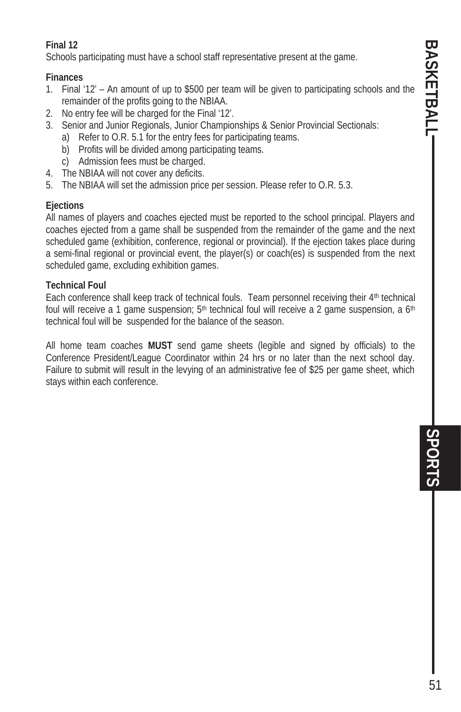# **BASKETBALL** BASKETBALL SPORTS **SPORTS**

#### **Final 12**

Schools participating must have a school staff representative present at the game.

#### **Finances**

- 1. Final '12' An amount of up to \$500 per team will be given to participating schools and the remainder of the profits going to the NBIAA.
- 2. No entry fee will be charged for the Final '12'.
- 3. Senior and Junior Regionals, Junior Championships & Senior Provincial Sectionals:
	- a) Refer to O.R. 5.1 for the entry fees for participating teams.
	- b) Profits will be divided among participating teams.
	- c) Admission fees must be charged.
- 4. The NBIAA will not cover any deficits.
- 5. The NBIAA will set the admission price per session. Please refer to O.R. 5.3.

#### **Ejections**

All names of players and coaches ejected must be reported to the school principal. Players and coaches ejected from a game shall be suspended from the remainder of the game and the next scheduled game (exhibition, conference, regional or provincial). If the ejection takes place during a semi-final regional or provincial event, the player(s) or coach(es) is suspended from the next scheduled game, excluding exhibition games.

#### **Technical Foul**

Each conference shall keep track of technical fouls. Team personnel receiving their 4<sup>th</sup> technical foul will receive a 1 game suspension;  $5<sup>th</sup>$  technical foul will receive a 2 game suspension, a  $6<sup>th</sup>$ technical foul will be suspended for the balance of the season.

All home team coaches **MUST** send game sheets (legible and signed by officials) to the Conference President/League Coordinator within 24 hrs or no later than the next school day. Failure to submit will result in the levying of an administrative fee of \$25 per game sheet, which stays within each conference.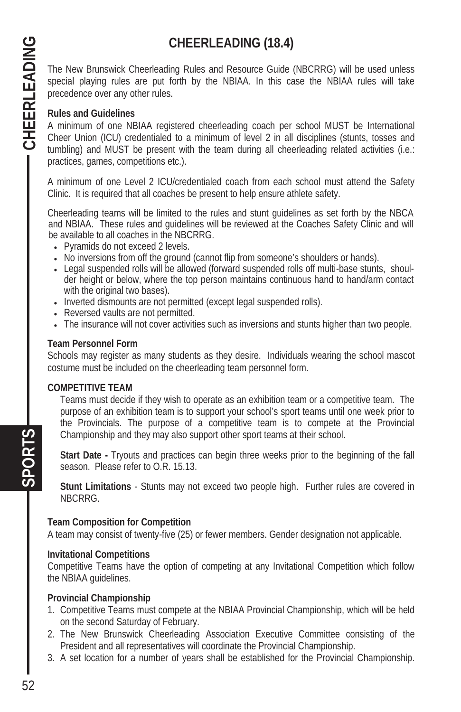# **CHEERLEADING (18.4)**

The New Brunswick Cheerleading Rules and Resource Guide (NBCRRG) will be used unless special playing rules are put forth by the NBIAA. In this case the NBIAA rules will take precedence over any other rules.

#### **Rules and Guidelines**

A minimum of one NBIAA registered cheerleading coach per school MUST be International Cheer Union (ICU) credentialed to a minimum of level 2 in all disciplines (stunts, tosses and tumbling) and MUST be present with the team during all cheerleading related activities (i.e.: practices, games, competitions etc.).

A minimum of one Level 2 ICU/credentialed coach from each school must attend the Safety Clinic. It is required that all coaches be present to help ensure athlete safety.

Cheerleading teams will be limited to the rules and stunt guidelines as set forth by the NBCA and NBIAA. These rules and guidelines will be reviewed at the Coaches Safety Clinic and will be available to all coaches in the NBCRRG.

- Pyramids do not exceed 2 levels.
- No inversions from off the ground (cannot flip from someone's shoulders or hands).
- Legal suspended rolls will be allowed (forward suspended rolls off multi-base stunts, shoulder height or below, where the top person maintains continuous hand to hand/arm contact with the original two bases).
- Inverted dismounts are not permitted (except legal suspended rolls).
- Reversed vaults are not permitted.
- The insurance will not cover activities such as inversions and stunts higher than two people.

#### **Team Personnel Form**

Schools may register as many students as they desire. Individuals wearing the school mascot costume must be included on the cheerleading team personnel form.

#### **COMPETITIVE TEAM**

Teams must decide if they wish to operate as an exhibition team or a competitive team. The purpose of an exhibition team is to support your school's sport teams until one week prior to the Provincials. The purpose of a competitive team is to compete at the Provincial Championship and they may also support other sport teams at their school.

**Start Date -** Tryouts and practices can begin three weeks prior to the beginning of the fall season. Please refer to O.R. 15.13.

**Stunt Limitations** - Stunts may not exceed two people high. Further rules are covered in NBCRRG.

#### **Team Composition for Competition**

A team may consist of twenty-five (25) or fewer members. Gender designation not applicable.

#### **Invitational Competitions**

Competitive Teams have the option of competing at any Invitational Competition which follow the NBIAA guidelines.

#### **Provincial Championship**

- 1. Competitive Teams must compete at the NBIAA Provincial Championship, which will be held on the second Saturday of February.
- 2. The New Brunswick Cheerleading Association Executive Committee consisting of the President and all representatives will coordinate the Provincial Championship.
- 3. A set location for a number of years shall be established for the Provincial Championship.

**SPORTS**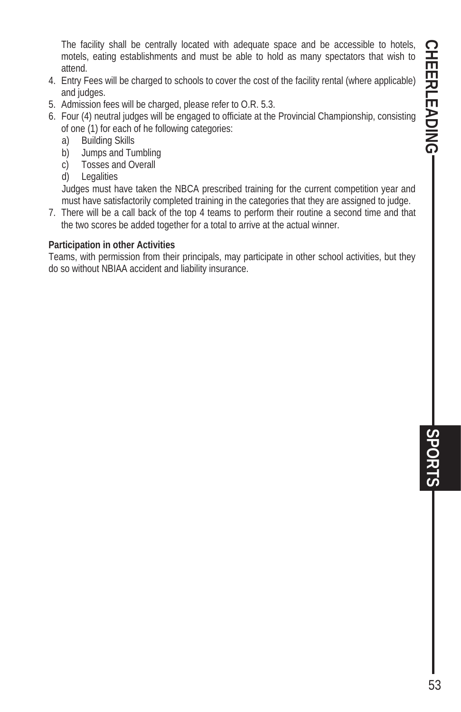The facility shall be centrally located with adequate space and be accessible to hotels, motels, eating establishments and must be able to hold as many spectators that wish to attend.

- 4. Entry Fees will be charged to schools to cover the cost of the facility rental (where applicable) and judges.
- 5. Admission fees will be charged, please refer to O.R. 5.3.
- 6. Four (4) neutral judges will be engaged to officiate at the Provincial Championship, consisting of one (1) for each of he following categories:
	- a) Building Skills
	- b) Jumps and Tumbling
	- c) Tosses and Overall
	- d) Legalities

Judges must have taken the NBCA prescribed training for the current competition year and must have satisfactorily completed training in the categories that they are assigned to judge.

7. There will be a call back of the top 4 teams to perform their routine a second time and that the two scores be added together for a total to arrive at the actual winner.

#### **Participation in other Activities**

Teams, with permission from their principals, may participate in other school activities, but they do so without NBIAA accident and liability insurance.

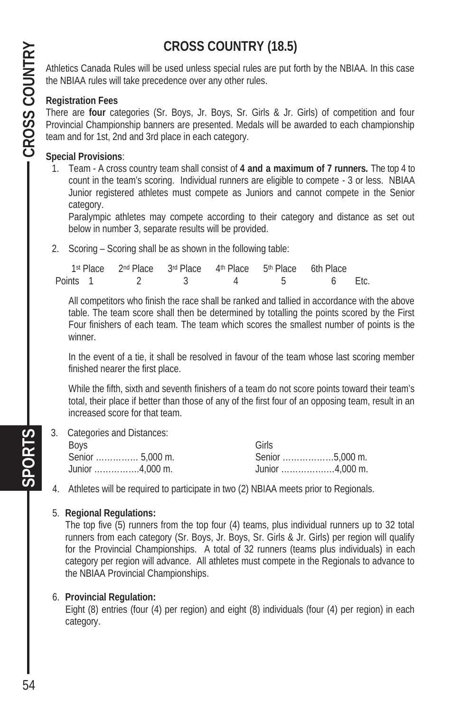# **CROSS COUNTRY (18.5)**

Athletics Canada Rules will be used unless special rules are put forth by the NBIAA. In this case the NBIAA rules will take precedence over any other rules.

#### **Registration Fees**

There are **four** categories (Sr. Boys, Jr. Boys, Sr. Girls & Jr. Girls) of competition and four Provincial Championship banners are presented. Medals will be awarded to each championship team and for 1st, 2nd and 3rd place in each category.

#### **Special Provisions**:

1. Team - A cross country team shall consist of **4 and a maximum of 7 runners.** The top 4 to count in the team's scoring. Individual runners are eligible to compete - 3 or less. NBIAA Junior registered athletes must compete as Juniors and cannot compete in the Senior category.

 Paralympic athletes may compete according to their category and distance as set out below in number 3, separate results will be provided.

2. Scoring – Scoring shall be as shown in the following table:

|          | 1st Place 2nd Place 3rd Place 4th Place 5th Place 6th Place |  |        |  |
|----------|-------------------------------------------------------------|--|--------|--|
| Points 1 |                                                             |  | 6 Etc. |  |

All competitors who finish the race shall be ranked and tallied in accordance with the above table. The team score shall then be determined by totalling the points scored by the First Four finishers of each team. The team which scores the smallest number of points is the winner.

In the event of a tie, it shall be resolved in favour of the team whose last scoring member finished nearer the first place.

While the fifth, sixth and seventh finishers of a team do not score points toward their team's total, their place if better than those of any of the first four of an opposing team, result in an increased score for that team.

3. Categories and Distances:

| Boys                                          | Girls           |
|-----------------------------------------------|-----------------|
| Senior  5,000 m.                              | Senior 5,000 m. |
| Junior $\ldots \ldots \ldots \ldots 4,000$ m. | Junior 4,000 m. |

4. Athletes will be required to participate in two (2) NBIAA meets prior to Regionals.

#### 5. **Regional Regulations:**

The top five (5) runners from the top four (4) teams, plus individual runners up to 32 total runners from each category (Sr. Boys, Jr. Boys, Sr. Girls & Jr. Girls) per region will qualify for the Provincial Championships. A total of 32 runners (teams plus individuals) in each category per region will advance. All athletes must compete in the Regionals to advance to the NBIAA Provincial Championships.

#### 6. **Provincial Regulation:**

Eight (8) entries (four (4) per region) and eight (8) individuals (four (4) per region) in each category.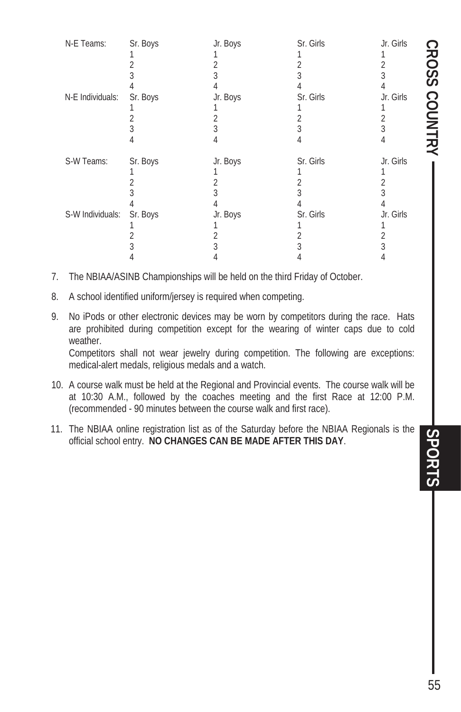|    | N-E Teams:                                                                                                                                                                                                                                                                                                                              | Sr. Boys<br>2<br>3                                                                                                                                           | Jr. Boys<br>1<br>$\overline{2}$<br>3           | Sr. Girls<br>1<br>$\overline{2}$<br>3           | Jr. Girls<br>1<br>$\overline{2}$<br>3           |                      |  |
|----|-----------------------------------------------------------------------------------------------------------------------------------------------------------------------------------------------------------------------------------------------------------------------------------------------------------------------------------------|--------------------------------------------------------------------------------------------------------------------------------------------------------------|------------------------------------------------|-------------------------------------------------|-------------------------------------------------|----------------------|--|
|    | N-E Individuals:                                                                                                                                                                                                                                                                                                                        | 4<br>Sr. Boys<br>1<br>$\overline{2}$<br>3<br>4                                                                                                               | 4<br>Jr. Boys<br>1<br>$\overline{2}$<br>3<br>4 | 4<br>Sr. Girls<br>1<br>$\overline{2}$<br>3<br>4 | 4<br>Jr. Girls<br>1<br>$\overline{2}$<br>3<br>4 | <b>CROSS COUNTRY</b> |  |
|    | S-W Teams:                                                                                                                                                                                                                                                                                                                              | Sr. Boys<br>1<br>2<br>3<br>4                                                                                                                                 | Jr. Boys<br>1<br>$\overline{2}$<br>3<br>4      | Sr. Girls<br>1<br>$\overline{2}$<br>3<br>4      | Jr. Girls<br>1<br>$\overline{2}$<br>3<br>4      |                      |  |
|    | S-W Individuals:                                                                                                                                                                                                                                                                                                                        | Sr. Boys<br>1<br>2<br>3<br>4                                                                                                                                 | Jr. Boys<br>1<br>$\overline{2}$<br>3<br>4      | Sr. Girls<br>1<br>$\overline{2}$<br>3<br>4      | Jr. Girls<br>1<br>$\overline{2}$<br>3<br>4      |                      |  |
| 7. |                                                                                                                                                                                                                                                                                                                                         | The NBIAA/ASINB Championships will be held on the third Friday of October.                                                                                   |                                                |                                                 |                                                 |                      |  |
| 8. |                                                                                                                                                                                                                                                                                                                                         | A school identified uniform/jersey is required when competing.                                                                                               |                                                |                                                 |                                                 |                      |  |
| 9. | No iPods or other electronic devices may be worn by competitors during the race. Hats<br>are prohibited during competition except for the wearing of winter caps due to cold<br>weather.<br>Competitors shall not wear jewelry during competition. The following are exceptions:<br>medical-alert medals, religious medals and a watch. |                                                                                                                                                              |                                                |                                                 |                                                 |                      |  |
|    | 10. A course walk must be held at the Regional and Provincial events. The course walk will be<br>at 10:30 A.M., followed by the coaches meeting and the first Race at 12:00 P.M.<br>(recommended - 90 minutes between the course walk and first race).                                                                                  |                                                                                                                                                              |                                                |                                                 |                                                 |                      |  |
|    |                                                                                                                                                                                                                                                                                                                                         | 11. The NBIAA online registration list as of the Saturday before the NBIAA Regionals is the<br>official school entry. NO CHANGES CAN BE MADE AFTER THIS DAY. |                                                |                                                 |                                                 | SPORTS               |  |

- 7. The NBIAA/ASINB Championships will be held on the third Friday of October.
- 8. A school identified uniform/jersey is required when competing.
- 9. No iPods or other electronic devices may be worn by competitors during the race. Hats are prohibited during competition except for the wearing of winter caps due to cold weather.

- 10. A course walk must be held at the Regional and Provincial events. The course walk will be at 10:30 A.M., followed by the coaches meeting and the first Race at 12:00 P.M. (recommended - 90 minutes between the course walk and first race).
- 11. The NBIAA online registration list as of the Saturday before the NBIAA Regionals is the official school entry. **NO CHANGES CAN BE MADE AFTER THIS DAY**.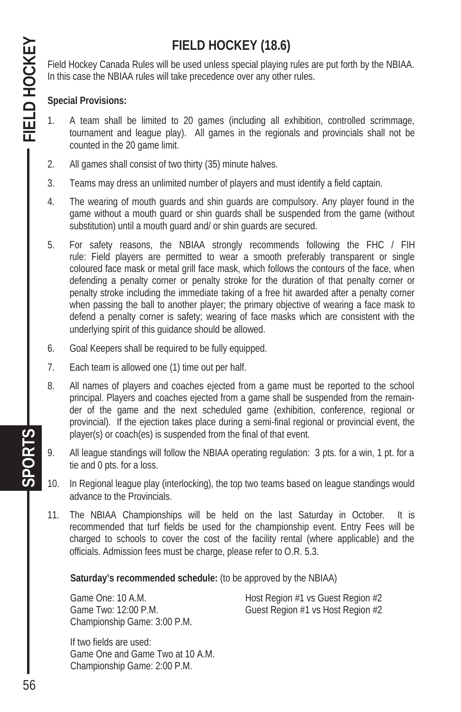# **FIELD HOCKEY (18.6)**

Field Hockey Canada Rules will be used unless special playing rules are put forth by the NBIAA. In this case the NBIAA rules will take precedence over any other rules.

#### **Special Provisions:**

- 1. A team shall be limited to 20 games (including all exhibition, controlled scrimmage, tournament and league play). All games in the regionals and provincials shall not be counted in the 20 game limit.
- 2. All games shall consist of two thirty (35) minute halves.
- 3. Teams may dress an unlimited number of players and must identify a field captain.
- 4. The wearing of mouth guards and shin guards are compulsory. Any player found in the game without a mouth guard or shin guards shall be suspended from the game (without substitution) until a mouth guard and/ or shin guards are secured.
- 5. For safety reasons, the NBIAA strongly recommends following the FHC / FIH rule: Field players are permitted to wear a smooth preferably transparent or single coloured face mask or metal grill face mask, which follows the contours of the face, when defending a penalty corner or penalty stroke for the duration of that penalty corner or penalty stroke including the immediate taking of a free hit awarded after a penalty corner when passing the ball to another player; the primary objective of wearing a face mask to defend a penalty corner is safety; wearing of face masks which are consistent with the underlying spirit of this guidance should be allowed.
- 6. Goal Keepers shall be required to be fully equipped.
- 7. Each team is allowed one (1) time out per half.
- 8. All names of players and coaches ejected from a game must be reported to the school principal. Players and coaches ejected from a game shall be suspended from the remainder of the game and the next scheduled game (exhibition, conference, regional or provincial). If the ejection takes place during a semi-final regional or provincial event, the player(s) or coach(es) is suspended from the final of that event.
- 9. All league standings will follow the NBIAA operating regulation: 3 pts. for a win, 1 pt. for a tie and 0 pts. for a loss.
- 10. In Regional league play (interlocking), the top two teams based on league standings would advance to the Provincials.
- 11. The NBIAA Championships will be held on the last Saturday in October. It is recommended that turf fields be used for the championship event. Entry Fees will be charged to schools to cover the cost of the facility rental (where applicable) and the officials. Admission fees must be charge, please refer to O.R. 5.3.

**Saturday's recommended schedule:** (to be approved by the NBIAA)

Championship Game: 3:00 P.M.

Game One: 10 A.M. Same Cone Control Host Region #1 vs Guest Region #2 Game Two: 12:00 P.M. Guest Region #1 vs Host Region #2

 If two fields are used: Game One and Game Two at 10 A.M. Championship Game: 2:00 P.M.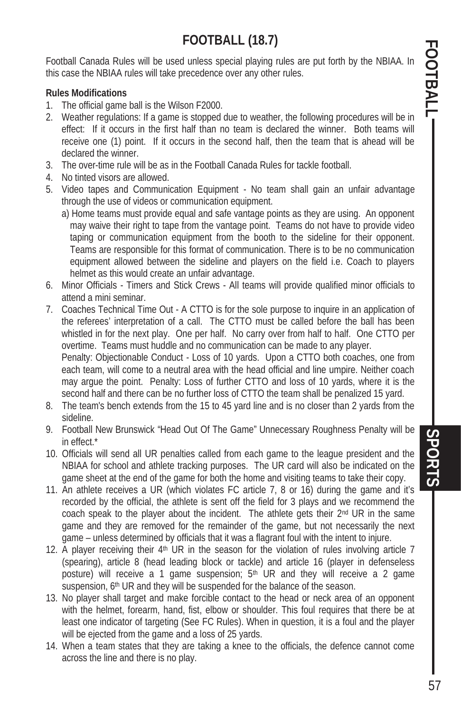# **FOOTBALL (18.7)**

Football Canada Rules will be used unless special playing rules are put forth by the NBIAA. In this case the NBIAA rules will take precedence over any other rules.

#### **Rules Modifications**

- 1. The official game ball is the Wilson F2000.
- 2. Weather regulations: If a game is stopped due to weather, the following procedures will be in effect: If it occurs in the first half than no team is declared the winner. Both teams will receive one (1) point. If it occurs in the second half, then the team that is ahead will be declared the winner.
- 3. The over-time rule will be as in the Football Canada Rules for tackle football.
- 4. No tinted visors are allowed.
- 5. Video tapes and Communication Equipment No team shall gain an unfair advantage through the use of videos or communication equipment.
	- a) Home teams must provide equal and safe vantage points as they are using. An opponent may waive their right to tape from the vantage point. Teams do not have to provide video taping or communication equipment from the booth to the sideline for their opponent. Teams are responsible for this format of communication. There is to be no communication equipment allowed between the sideline and players on the field i.e. Coach to players helmet as this would create an unfair advantage.
- 6. Minor Officials Timers and Stick Crews All teams will provide qualified minor officials to attend a mini seminar.
- 7. Coaches Technical Time Out A CTTO is for the sole purpose to inquire in an application of the referees' interpretation of a call. The CTTO must be called before the ball has been whistled in for the next play. One per half. No carry over from half to half. One CTTO per overtime. Teams must huddle and no communication can be made to any player. Penalty: Objectionable Conduct - Loss of 10 yards. Upon a CTTO both coaches, one from each team, will come to a neutral area with the head official and line umpire. Neither coach may argue the point. Penalty: Loss of further CTTO and loss of 10 yards, where it is the

second half and there can be no further loss of CTTO the team shall be penalized 15 yard.

- 8. The team's bench extends from the 15 to 45 yard line and is no closer than 2 yards from the sideline.
- 9. Football New Brunswick "Head Out Of The Game" Unnecessary Roughness Penalty will be in effect.\*
- 10. Officials will send all UR penalties called from each game to the league president and the NBIAA for school and athlete tracking purposes. The UR card will also be indicated on the game sheet at the end of the game for both the home and visiting teams to take their copy.
- 11. An athlete receives a UR (which violates FC article 7, 8 or 16) during the game and it's recorded by the official, the athlete is sent off the field for 3 plays and we recommend the coach speak to the player about the incident. The athlete gets their 2<sup>nd</sup> UR in the same game and they are removed for the remainder of the game, but not necessarily the next game – unless determined by officials that it was a flagrant foul with the intent to injure.
- 12. A player receiving their 4<sup>th</sup> UR in the season for the violation of rules involving article 7 (spearing), article 8 (head leading block or tackle) and article 16 (player in defenseless posture) will receive a 1 game suspension;  $5<sup>th</sup>$  UR and they will receive a 2 game suspension, 6<sup>th</sup> UR and they will be suspended for the balance of the season.
- 13. No player shall target and make forcible contact to the head or neck area of an opponent with the helmet, forearm, hand, fist, elbow or shoulder. This foul requires that there be at least one indicator of targeting (See FC Rules). When in question, it is a foul and the player will be ejected from the game and a loss of 25 yards.
- 14. When a team states that they are taking a knee to the officials, the defence cannot come across the line and there is no play.

STORTS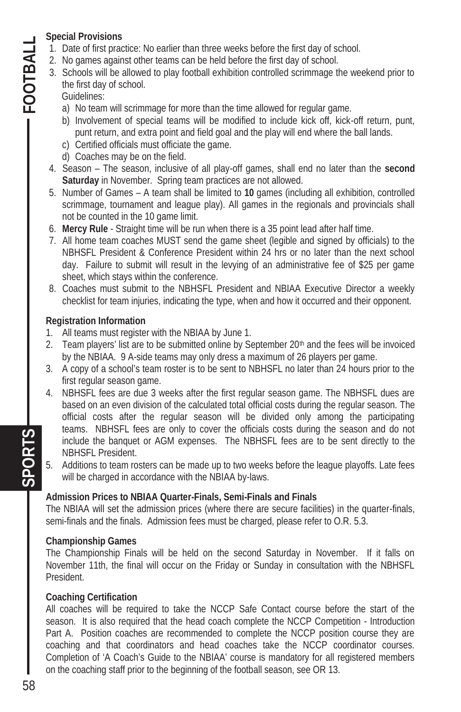#### **Special Provisions**

- 1. Date of first practice: No earlier than three weeks before the first day of school.
- 2. No games against other teams can be held before the first day of school.
- 3. Schools will be allowed to play football exhibition controlled scrimmage the weekend prior to the first day of school.
	- Guidelines:

 $-$  FOOTBAL

- a) No team will scrimmage for more than the time allowed for regular game.
- b) Involvement of special teams will be modified to include kick off, kick-off return, punt, punt return, and extra point and field goal and the play will end where the ball lands.
- c) Certified officials must officiate the game.
- d) Coaches may be on the field.
- 4. Season The season, inclusive of all play-off games, shall end no later than the **second Saturday** in November. Spring team practices are not allowed.
- 5. Number of Games A team shall be limited to **10** games (including all exhibition, controlled scrimmage, tournament and league play). All games in the regionals and provincials shall not be counted in the 10 game limit.
- 6. **Mercy Rule**  Straight time will be run when there is a 35 point lead after half time.
- 7. All home team coaches MUST send the game sheet (legible and signed by officials) to the NBHSFL President & Conference President within 24 hrs or no later than the next school day. Failure to submit will result in the levying of an administrative fee of \$25 per game sheet, which stays within the conference.
- 8. Coaches must submit to the NBHSFL President and NBIAA Executive Director a weekly checklist for team injuries, indicating the type, when and how it occurred and their opponent.

#### **Registration Information**

- 1. All teams must register with the NBIAA by June 1.
- 2. Team players' list are to be submitted online by September 20<sup>th</sup> and the fees will be invoiced by the NBIAA. 9 A-side teams may only dress a maximum of 26 players per game.
- 3. A copy of a school's team roster is to be sent to NBHSFL no later than 24 hours prior to the first regular season game.
- 4. NBHSFL fees are due 3 weeks after the first regular season game. The NBHSFL dues are based on an even division of the calculated total official costs during the regular season. The official costs after the regular season will be divided only among the participating teams. NBHSFL fees are only to cover the officials costs during the season and do not include the banquet or AGM expenses. The NBHSFL fees are to be sent directly to the NBHSFL President.
- 5. Additions to team rosters can be made up to two weeks before the league playoffs. Late fees will be charged in accordance with the NBIAA by-laws.

#### **Admission Prices to NBIAA Quarter-Finals, Semi-Finals and Finals**

The NBIAA will set the admission prices (where there are secure facilities) in the quarter-finals, semi-finals and the finals. Admission fees must be charged, please refer to O.R. 5.3.

#### **Championship Games**

The Championship Finals will be held on the second Saturday in November. If it falls on November 11th, the final will occur on the Friday or Sunday in consultation with the NBHSFL President.

#### **Coaching Certification**

All coaches will be required to take the NCCP Safe Contact course before the start of the season. It is also required that the head coach complete the NCCP Competition - Introduction Part A. Position coaches are recommended to complete the NCCP position course they are coaching and that coordinators and head coaches take the NCCP coordinator courses. Completion of 'A Coach's Guide to the NBIAA' course is mandatory for all registered members on the coaching staff prior to the beginning of the football season, see OR 13.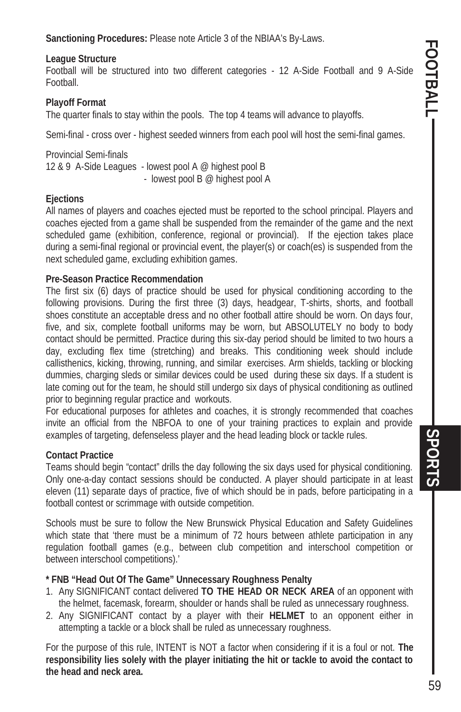**Sanctioning Procedures:** Please note Article 3 of the NBIAA's By-Laws.

#### **League Structure**

Football will be structured into two different categories - 12 A-Side Football and 9 A-Side Football.

#### **Playoff Format**

The quarter finals to stay within the pools. The top 4 teams will advance to playoffs.

Semi-final - cross over - highest seeded winners from each pool will host the semi-final games.

Provincial Semi-finals 12 & 9 A-Side Leagues - lowest pool A @ highest pool B - lowest pool B @ highest pool A

#### **Ejections**

All names of players and coaches ejected must be reported to the school principal. Players and coaches ejected from a game shall be suspended from the remainder of the game and the next scheduled game (exhibition, conference, regional or provincial). If the ejection takes place during a semi-final regional or provincial event, the player(s) or coach(es) is suspended from the next scheduled game, excluding exhibition games.

#### **Pre-Season Practice Recommendation**

The first six (6) days of practice should be used for physical conditioning according to the following provisions. During the first three (3) days, headgear, T-shirts, shorts, and football shoes constitute an acceptable dress and no other football attire should be worn. On days four, five, and six, complete football uniforms may be worn, but ABSOLUTELY no body to body contact should be permitted. Practice during this six-day period should be limited to two hours a day, excluding flex time (stretching) and breaks. This conditioning week should include callisthenics, kicking, throwing, running, and similar exercises. Arm shields, tackling or blocking dummies, charging sleds or similar devices could be used during these six days. If a student is late coming out for the team, he should still undergo six days of physical conditioning as outlined prior to beginning regular practice and workouts.

For educational purposes for athletes and coaches, it is strongly recommended that coaches invite an official from the NBFOA to one of your training practices to explain and provide examples of targeting, defenseless player and the head leading block or tackle rules.

#### **Contact Practice**

Teams should begin "contact" drills the day following the six days used for physical conditioning. Only one-a-day contact sessions should be conducted. A player should participate in at least eleven (11) separate days of practice, five of which should be in pads, before participating in a football contest or scrimmage with outside competition.

Schools must be sure to follow the New Brunswick Physical Education and Safety Guidelines which state that 'there must be a minimum of 72 hours between athlete participation in any regulation football games (e.g., between club competition and interschool competition or between interschool competitions).'

#### **\* FNB "Head Out Of The Game" Unnecessary Roughness Penalty**

- 1. Any SIGNIFICANT contact delivered **TO THE HEAD OR NECK AREA** of an opponent with the helmet, facemask, forearm, shoulder or hands shall be ruled as unnecessary roughness.
- 2. Any SIGNIFICANT contact by a player with their **HELMET** to an opponent either in attempting a tackle or a block shall be ruled as unnecessary roughness.

For the purpose of this rule, INTENT is NOT a factor when considering if it is a foul or not. **The responsibility lies solely with the player initiating the hit or tackle to avoid the contact to the head and neck area.** 

SPORTS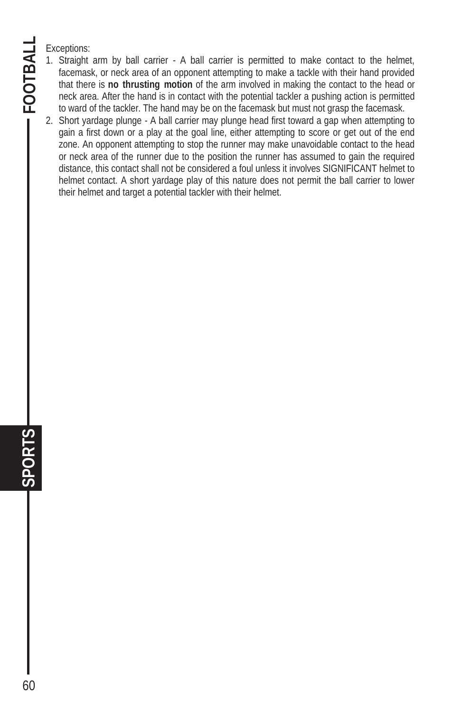Exceptions:

**SPORTS FOOTBALL** 

 $SPOR$ 

**FOOTBAL** 

60

- 1. Straight arm by ball carrier A ball carrier is permitted to make contact to the helmet, facemask, or neck area of an opponent attempting to make a tackle with their hand provided that there is **no thrusting motion** of the arm involved in making the contact to the head or neck area. After the hand is in contact with the potential tackler a pushing action is permitted to ward of the tackler. The hand may be on the facemask but must not grasp the facemask.
- 2. Short yardage plunge A ball carrier may plunge head first toward a gap when attempting to gain a first down or a play at the goal line, either attempting to score or get out of the end zone. An opponent attempting to stop the runner may make unavoidable contact to the head or neck area of the runner due to the position the runner has assumed to gain the required distance, this contact shall not be considered a foul unless it involves SIGNIFICANT helmet to helmet contact. A short yardage play of this nature does not permit the ball carrier to lower their helmet and target a potential tackler with their helmet.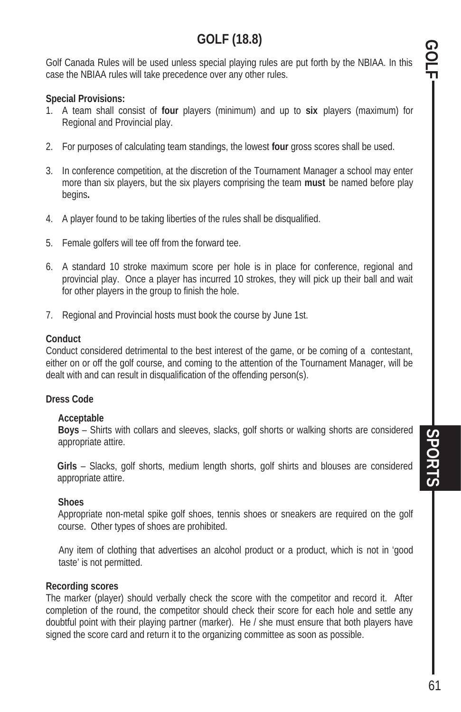## **GOLF (18.8)**

Golf Canada Rules will be used unless special playing rules are put forth by the NBIAA. In this case the NBIAA rules will take precedence over any other rules.

#### **Special Provisions:**

- 1. A team shall consist of **four** players (minimum) and up to **six** players (maximum) for Regional and Provincial play.
- 2. For purposes of calculating team standings, the lowest **four** gross scores shall be used.
- 3. In conference competition, at the discretion of the Tournament Manager a school may enter more than six players, but the six players comprising the team **must** be named before play begins**.**
- 4. A player found to be taking liberties of the rules shall be disqualified.
- 5. Female golfers will tee off from the forward tee.
- 6. A standard 10 stroke maximum score per hole is in place for conference, regional and provincial play. Once a player has incurred 10 strokes, they will pick up their ball and wait for other players in the group to finish the hole.
- 7. Regional and Provincial hosts must book the course by June 1st.

#### **Conduct**

Conduct considered detrimental to the best interest of the game, or be coming of a contestant, either on or off the golf course, and coming to the attention of the Tournament Manager, will be dealt with and can result in disqualification of the offending person(s).

#### **Dress Code**

#### **Acceptable**

**Boys** – Shirts with collars and sleeves, slacks, golf shorts or walking shorts are considered appropriate attire.

 **Girls** – Slacks, golf shorts, medium length shorts, golf shirts and blouses are considered appropriate attire.

#### **Shoes**

Appropriate non-metal spike golf shoes, tennis shoes or sneakers are required on the golf course. Other types of shoes are prohibited.

Any item of clothing that advertises an alcohol product or a product, which is not in 'good taste' is not permitted.

#### **Recording scores**

The marker (player) should verbally check the score with the competitor and record it. After completion of the round, the competitor should check their score for each hole and settle any doubtful point with their playing partner (marker). He / she must ensure that both players have signed the score card and return it to the organizing committee as soon as possible.

GOLF - SPORTS SPORTS SPORTS **SPORTS SPORTS**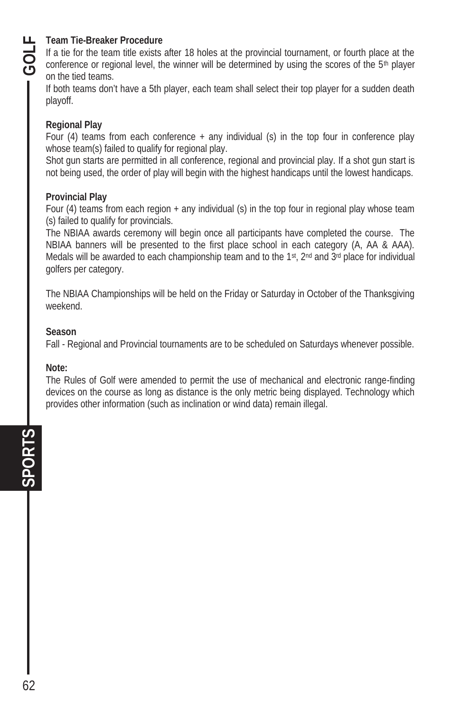#### **Team Tie-Breaker Procedure**

If a tie for the team title exists after 18 holes at the provincial tournament, or fourth place at the conference or regional level, the winner will be determined by using the scores of the  $5<sup>th</sup>$  player on the tied teams.

If both teams don't have a 5th player, each team shall select their top player for a sudden death playoff.

#### **Regional Play**

Four (4) teams from each conference  $+$  any individual (s) in the top four in conference play whose team(s) failed to qualify for regional play.

Shot gun starts are permitted in all conference, regional and provincial play. If a shot gun start is not being used, the order of play will begin with the highest handicaps until the lowest handicaps.

#### **Provincial Play**

Four (4) teams from each region + any individual (s) in the top four in regional play whose team (s) failed to qualify for provincials.

The NBIAA awards ceremony will begin once all participants have completed the course. The NBIAA banners will be presented to the first place school in each category (A, AA & AAA). Medals will be awarded to each championship team and to the 1st,  $2<sup>nd</sup>$  and  $3<sup>rd</sup>$  place for individual golfers per category.

The NBIAA Championships will be held on the Friday or Saturday in October of the Thanksgiving weekend.

#### **Season**

Fall - Regional and Provincial tournaments are to be scheduled on Saturdays whenever possible.

#### **Note:**

The Rules of Golf were amended to permit the use of mechanical and electronic range-finding devices on the course as long as distance is the only metric being displayed. Technology which provides other information (such as inclination or wind data) remain illegal.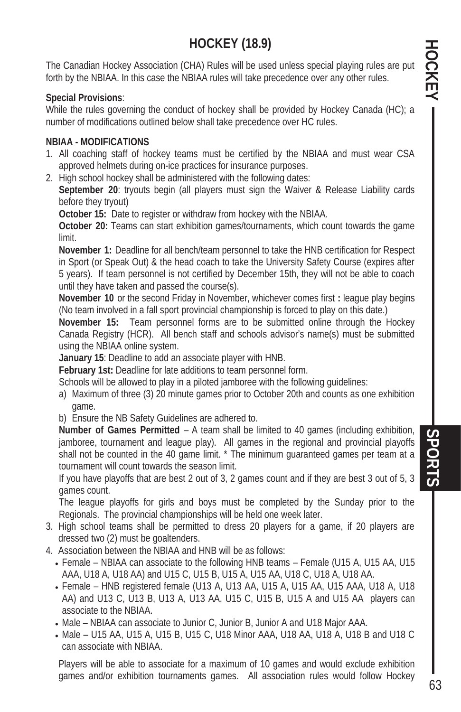# **HOCKEY (18.9)**

The Canadian Hockey Association (CHA) Rules will be used unless special playing rules are put forth by the NBIAA. In this case the NBIAA rules will take precedence over any other rules.

#### **Special Provisions**:

While the rules governing the conduct of hockey shall be provided by Hockey Canada (HC); a number of modifications outlined below shall take precedence over HC rules.

#### **NBIAA - MODIFICATIONS**

- 1. All coaching staff of hockey teams must be certified by the NBIAA and must wear CSA approved helmets during on-ice practices for insurance purposes.
- 2. High school hockey shall be administered with the following dates:

**September 20**: tryouts begin (all players must sign the Waiver & Release Liability cards before they tryout)

 **October 15:** Date to register or withdraw from hockey with the NBIAA.

**October 20:** Teams can start exhibition games/tournaments, which count towards the game limit.

 **November 1:** Deadline for all bench/team personnel to take the HNB certification for Respect in Sport (or Speak Out) & the head coach to take the University Safety Course (expires after 5 years). If team personnel is not certified by December 15th, they will not be able to coach until they have taken and passed the course(s).

 **November 10** or the second Friday in November, whichever comes first **:** league play begins (No team involved in a fall sport provincial championship is forced to play on this date.)

**November 15:** Team personnel forms are to be submitted online through the Hockey Canada Registry (HCR). All bench staff and schools advisor's name(s) must be submitted using the NBIAA online system.

**January 15**: Deadline to add an associate player with HNB.

**February 1st:** Deadline for late additions to team personnel form.

Schools will be allowed to play in a piloted jamboree with the following guidelines:

- a) Maximum of three (3) 20 minute games prior to October 20th and counts as one exhibition game.
- b) Ensure the NB Safety Guidelines are adhered to.

 **Number of Games Permitted** – A team shall be limited to 40 games (including exhibition, jamboree, tournament and league play). All games in the regional and provincial playoffs shall not be counted in the 40 game limit. \* The minimum guaranteed games per team at a tournament will count towards the season limit.

 If you have playoffs that are best 2 out of 3, 2 games count and if they are best 3 out of 5, 3 games count.

 The league playoffs for girls and boys must be completed by the Sunday prior to the Regionals. The provincial championships will be held one week later.

- 3. High school teams shall be permitted to dress 20 players for a game, if 20 players are dressed two (2) must be goaltenders.
- 4. Association between the NBIAA and HNB will be as follows:
	- x Female NBIAA can associate to the following HNB teams Female (U15 A, U15 AA, U15 AAA, U18 A, U18 AA) and U15 C, U15 B, U15 A, U15 AA, U18 C, U18 A, U18 AA.
	- Female HNB registered female (U13 A, U13 AA, U15 A, U15 AAA, U18 A, U18 A, U18 AA) and U13 C, U13 B, U13 A, U13 AA, U15 C, U15 B, U15 A and U15 AA players can associate to the NBIAA.
	- Male NBIAA can associate to Junior C, Junior B, Junior A and U18 Major AAA.
	- x Male U15 AA, U15 A, U15 B, U15 C, U18 Minor AAA, U18 AA, U18 A, U18 B and U18 C can associate with NBIAA.

Players will be able to associate for a maximum of 10 games and would exclude exhibition games and/or exhibition tournaments games. All association rules would follow Hockey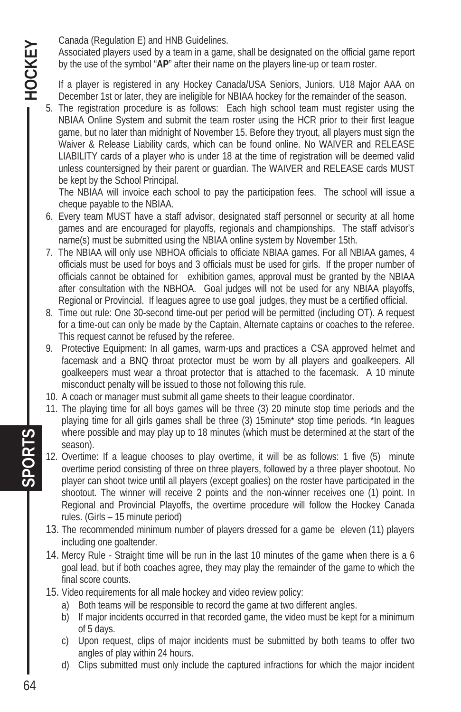Canada (Regulation E) and HNB Guidelines.

Associated players used by a team in a game, shall be designated on the official game report by the use of the symbol "**AP**" after their name on the players line-up or team roster.

If a player is registered in any Hockey Canada/USA Seniors, Juniors, U18 Major AAA on December 1st or later, they are ineligible for NBIAA hockey for the remainder of the season.

5. The registration procedure is as follows: Each high school team must register using the NBIAA Online System and submit the team roster using the HCR prior to their first league game, but no later than midnight of November 15. Before they tryout, all players must sign the Waiver & Release Liability cards, which can be found online. No WAIVER and RELEASE LIABILITY cards of a player who is under 18 at the time of registration will be deemed valid unless countersigned by their parent or guardian. The WAIVER and RELEASE cards MUST be kept by the School Principal.

 The NBIAA will invoice each school to pay the participation fees. The school will issue a cheque payable to the NBIAA.

- 6. Every team MUST have a staff advisor, designated staff personnel or security at all home games and are encouraged for playoffs, regionals and championships. The staff advisor's name(s) must be submitted using the NBIAA online system by November 15th.
- 7. The NBIAA will only use NBHOA officials to officiate NBIAA games. For all NBIAA games, 4 officials must be used for boys and 3 officials must be used for girls. If the proper number of officials cannot be obtained for exhibition games, approval must be granted by the NBIAA after consultation with the NBHOA. Goal judges will not be used for any NBIAA playoffs, Regional or Provincial. If leagues agree to use goal judges, they must be a certified official.
- 8. Time out rule: One 30-second time-out per period will be permitted (including OT). A request for a time-out can only be made by the Captain, Alternate captains or coaches to the referee. This request cannot be refused by the referee.
- 9. Protective Equipment: In all games, warm-ups and practices a CSA approved helmet and facemask and a BNQ throat protector must be worn by all players and goalkeepers. All goalkeepers must wear a throat protector that is attached to the facemask. A 10 minute misconduct penalty will be issued to those not following this rule.
- 10. A coach or manager must submit all game sheets to their league coordinator.
- 11. The playing time for all boys games will be three (3) 20 minute stop time periods and the playing time for all girls games shall be three (3) 15minute\* stop time periods. \*In leagues where possible and may play up to 18 minutes (which must be determined at the start of the season).
- 12. Overtime: If a league chooses to play overtime, it will be as follows: 1 five (5) minute overtime period consisting of three on three players, followed by a three player shootout. No player can shoot twice until all players (except goalies) on the roster have participated in the shootout. The winner will receive 2 points and the non-winner receives one (1) point. In Regional and Provincial Playoffs, the overtime procedure will follow the Hockey Canada rules. (Girls – 15 minute period)
- 13. The recommended minimum number of players dressed for a game be eleven (11) players including one goaltender.
- 14. Mercy Rule Straight time will be run in the last 10 minutes of the game when there is a 6 goal lead, but if both coaches agree, they may play the remainder of the game to which the final score counts.
- 15. Video requirements for all male hockey and video review policy:
	- a) Both teams will be responsible to record the game at two different angles.
	- b) If major incidents occurred in that recorded game, the video must be kept for a minimum of 5 days.
	- c) Upon request, clips of major incidents must be submitted by both teams to offer two angles of play within 24 hours.
	- d) Clips submitted must only include the captured infractions for which the major incident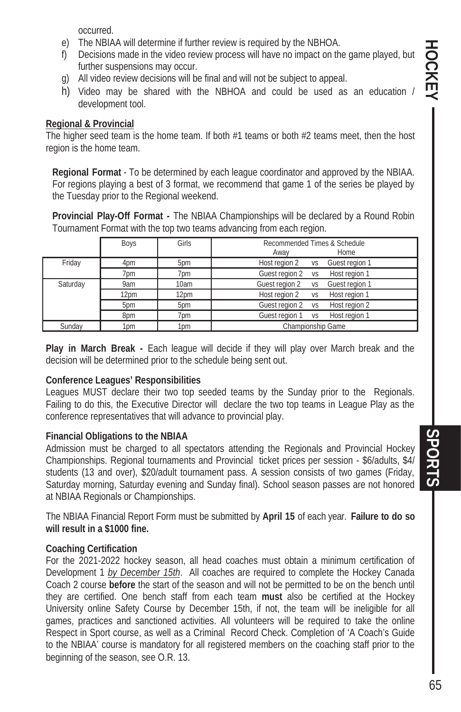occurred.

- e) The NBIAA will determine if further review is required by the NBHOA.
- f) Decisions made in the video review process will have no impact on the game played, but further suspensions may occur.
- g) All video review decisions will be final and will not be subject to appeal.
- h) Video may be shared with the NBHOA and could be used as an education development tool.

#### **Regional & Provincial**

The higher seed team is the home team. If both #1 teams or both #2 teams meet, then the host region is the home team.

**Regional Format** - To be determined by each league coordinator and approved by the NBIAA. For regions playing a best of 3 format, we recommend that game 1 of the series be played by the Tuesday prior to the Regional weekend.

**Provincial Play-Off Format -** The NBIAA Championships will be declared by a Round Robin Tournament Format with the top two teams advancing from each region.

|          | Boys | Girls | Recommended Times & Schedule<br>Home<br>Away |
|----------|------|-------|----------------------------------------------|
| Friday   | 4pm  | 5pm   | Host region 2<br>Guest region 1<br>VS        |
|          | 7pm  | 7pm   | Guest region 2<br>Host region 1<br><b>VS</b> |
| Saturday | 9am  | 10am  | Guest region 1<br>Guest region 2<br>VS       |
|          | 12pm | 12pm  | Host region 2 vs<br>Host region 1            |
|          | 5pm  | 5pm   | Guest region 2<br>Host region 2<br><b>VS</b> |
|          | 8pm  | 7pm   | Guest region 1<br>Host region 1<br>VS        |
| Sunday   | 1pm  | 1pm   | Championship Game                            |

**Play in March Break -** Each league will decide if they will play over March break and the decision will be determined prior to the schedule being sent out.

#### **Conference Leagues' Responsibilities**

Leagues MUST declare their two top seeded teams by the Sunday prior to the Regionals. Failing to do this, the Executive Director will declare the two top teams in League Play as the conference representatives that will advance to provincial play.

#### **Financial Obligations to the NBIAA**

Admission must be charged to all spectators attending the Regionals and Provincial Hockey Championships. Regional tournaments and Provincial ticket prices per session - \$6/adults, \$4/ students (13 and over), \$20/adult tournament pass. A session consists of two games (Friday, Saturday morning, Saturday evening and Sunday final). School season passes are not honored at NBIAA Regionals or Championships.

The NBIAA Financial Report Form must be submitted by **April 15** of each year. **Failure to do so will result in a \$1000 fine.** 

#### **Coaching Certification**

For the 2021-2022 hockey season, all head coaches must obtain a minimum certification of Development 1 *by December 15th*. All coaches are required to complete the Hockey Canada Coach 2 course **before** the start of the season and will not be permitted to be on the bench until they are certified. One bench staff from each team **must** also be certified at the Hockey University online Safety Course by December 15th, if not, the team will be ineligible for all games, practices and sanctioned activities. All volunteers will be required to take the online Respect in Sport course, as well as a Criminal Record Check. Completion of 'A Coach's Guide to the NBIAA' course is mandatory for all registered members on the coaching staff prior to the beginning of the season, see O.R. 13.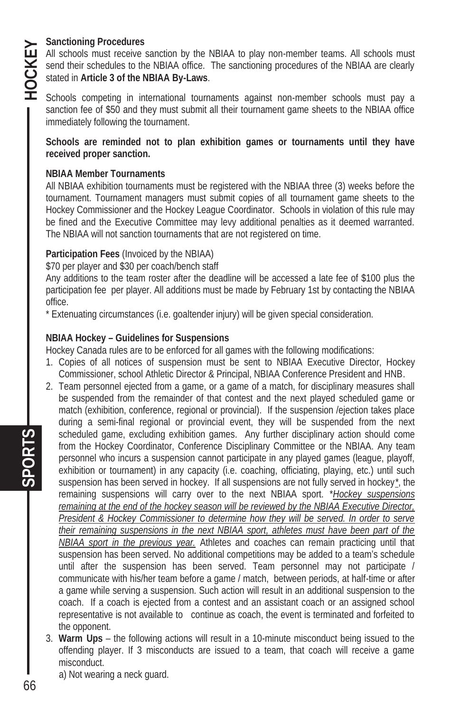# **HOCKEY**

#### **Sanctioning Procedures**

All schools must receive sanction by the NBIAA to play non-member teams. All schools must send their schedules to the NBIAA office. The sanctioning procedures of the NBIAA are clearly stated in **Article 3 of the NBIAA By-Laws**.

Schools competing in international tournaments against non-member schools must pay a sanction fee of \$50 and they must submit all their tournament game sheets to the NBIAA office immediately following the tournament.

**Schools are reminded not to plan exhibition games or tournaments until they have received proper sanction.** 

#### **NBIAA Member Tournaments**

All NBIAA exhibition tournaments must be registered with the NBIAA three (3) weeks before the tournament. Tournament managers must submit copies of all tournament game sheets to the Hockey Commissioner and the Hockey League Coordinator. Schools in violation of this rule may be fined and the Executive Committee may levy additional penalties as it deemed warranted. The NBIAA will not sanction tournaments that are not registered on time.

#### **Participation Fees** (Invoiced by the NBIAA)

\$70 per player and \$30 per coach/bench staff

Any additions to the team roster after the deadline will be accessed a late fee of \$100 plus the participation fee per player. All additions must be made by February 1st by contacting the NBIAA office.

\* Extenuating circumstances (i.e. goaltender injury) will be given special consideration.

#### **NBIAA Hockey – Guidelines for Suspensions**

Hockey Canada rules are to be enforced for all games with the following modifications:

- 1. Copies of all notices of suspension must be sent to NBIAA Executive Director, Hockey Commissioner, school Athletic Director & Principal, NBIAA Conference President and HNB.
- 2. Team personnel ejected from a game, or a game of a match, for disciplinary measures shall be suspended from the remainder of that contest and the next played scheduled game or match (exhibition, conference, regional or provincial). If the suspension /ejection takes place during a semi-final regional or provincial event, they will be suspended from the next scheduled game, excluding exhibition games. Any further disciplinary action should come from the Hockey Coordinator, Conference Disciplinary Committee or the NBIAA. Any team personnel who incurs a suspension cannot participate in any played games (league, playoff, exhibition or tournament) in any capacity (i.e. coaching, officiating, playing, etc.) until such suspension has been served in hockey. If all suspensions are not fully served in hockey*\**, the remaining suspensions will carry over to the next NBIAA sport. \**Hockey suspensions remaining at the end of the hockey season will be reviewed by the NBIAA Executive Director, President & Hockey Commissioner to determine how they will be served. In order to serve their remaining suspensions in the next NBIAA sport, athletes must have been part of the NBIAA sport in the previous year.* Athletes and coaches can remain practicing until that suspension has been served. No additional competitions may be added to a team's schedule until after the suspension has been served. Team personnel may not participate / communicate with his/her team before a game / match, between periods, at half-time or after a game while serving a suspension. Such action will result in an additional suspension to the coach. If a coach is ejected from a contest and an assistant coach or an assigned school representative is not available to continue as coach, the event is terminated and forfeited to the opponent.
- 3. **Warm Ups** the following actions will result in a 10-minute misconduct being issued to the offending player. If 3 misconducts are issued to a team, that coach will receive a game misconduct.
	- a) Not wearing a neck guard.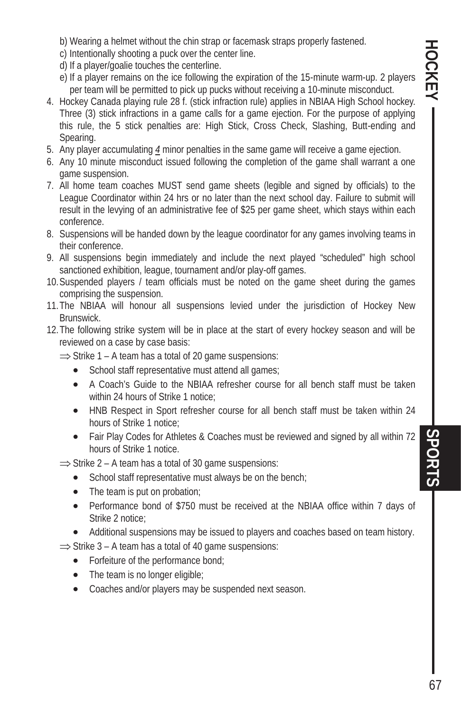b) Wearing a helmet without the chin strap or facemask straps properly fastened.

- c) Intentionally shooting a puck over the center line.
- d) If a player/goalie touches the centerline.
- e) If a player remains on the ice following the expiration of the 15-minute warm-up. 2 players per team will be permitted to pick up pucks without receiving a 10-minute misconduct.
- 4. Hockey Canada playing rule 28 f. (stick infraction rule) applies in NBIAA High School hockey. Three (3) stick infractions in a game calls for a game ejection. For the purpose of applying this rule, the 5 stick penalties are: High Stick, Cross Check, Slashing, Butt-ending and Spearing.
- 5. Any player accumulating *4* minor penalties in the same game will receive a game ejection.
- 6. Any 10 minute misconduct issued following the completion of the game shall warrant a one game suspension.
- 7. All home team coaches MUST send game sheets (legible and signed by officials) to the League Coordinator within 24 hrs or no later than the next school day. Failure to submit will result in the levying of an administrative fee of \$25 per game sheet, which stays within each conference.
- 8. Suspensions will be handed down by the league coordinator for any games involving teams in their conference.
- 9. All suspensions begin immediately and include the next played "scheduled" high school sanctioned exhibition, league, tournament and/or play-off games.
- 10. Suspended players / team officials must be noted on the game sheet during the games comprising the suspension.
- 11. The NBIAA will honour all suspensions levied under the jurisdiction of Hockey New Brunswick.
- 12. The following strike system will be in place at the start of every hockey season and will be reviewed on a case by case basis:

 $\Rightarrow$  Strike 1 – A team has a total of 20 game suspensions:

- School staff representative must attend all games;
- A Coach's Guide to the NBIAA refresher course for all bench staff must be taken within 24 hours of Strike 1 notice;
- HNB Respect in Sport refresher course for all bench staff must be taken within 24 hours of Strike 1 notice;
- Fair Play Codes for Athletes & Coaches must be reviewed and signed by all within 72 hours of Strike 1 notice.

 $\Rightarrow$  Strike 2 – A team has a total of 30 game suspensions:

- School staff representative must always be on the bench;
- $\bullet$  The team is put on probation;
- Performance bond of \$750 must be received at the NBIAA office within 7 days of Strike 2 notice;
- Additional suspensions may be issued to players and coaches based on team history.

 $\Rightarrow$  Strike 3 – A team has a total of 40 game suspensions:

- Forfeiture of the performance bond;
- $\bullet$  The team is no longer eligible;
- Coaches and/or players may be suspended next season.

SPORTS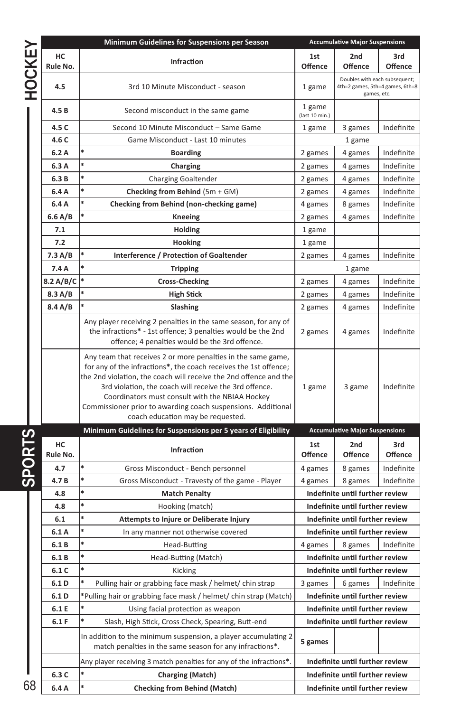|               |                | Minimum Guidelines for Suspensions per Season                                                                                                                                                                                                                                                                                                                                                                           | <b>Accumulative Major Suspensions</b> |                                                                                 |                |  |
|---------------|----------------|-------------------------------------------------------------------------------------------------------------------------------------------------------------------------------------------------------------------------------------------------------------------------------------------------------------------------------------------------------------------------------------------------------------------------|---------------------------------------|---------------------------------------------------------------------------------|----------------|--|
|               | HC<br>Rule No. | <b>Infraction</b>                                                                                                                                                                                                                                                                                                                                                                                                       | 1st<br><b>Offence</b>                 | 2nd<br>Offence                                                                  | 3rd<br>Offence |  |
| HOCKEY        | 4.5            | 3rd 10 Minute Misconduct - season                                                                                                                                                                                                                                                                                                                                                                                       |                                       | Doubles with each subsequent;<br>4th=2 games, 5th=4 games, 6th=8<br>games, etc. |                |  |
|               | 4.5 B          | Second misconduct in the same game                                                                                                                                                                                                                                                                                                                                                                                      | 1 game<br>(last 10 min.)              |                                                                                 |                |  |
|               | 4.5 C          | Second 10 Minute Misconduct - Same Game                                                                                                                                                                                                                                                                                                                                                                                 | 1 game                                | 3 games                                                                         | Indefinite     |  |
|               | 4.6 C          | Game Misconduct - Last 10 minutes                                                                                                                                                                                                                                                                                                                                                                                       |                                       | 1 game                                                                          |                |  |
|               | 6.2A           | <b>Boarding</b>                                                                                                                                                                                                                                                                                                                                                                                                         | 2 games                               | 4 games                                                                         | Indefinite     |  |
|               | 6.3 A          | <b>Charging</b>                                                                                                                                                                                                                                                                                                                                                                                                         | 2 games                               | 4 games                                                                         | Indefinite     |  |
|               | 6.3B           | <b>Charging Goaltender</b>                                                                                                                                                                                                                                                                                                                                                                                              | 2 games                               | 4 games                                                                         | Indefinite     |  |
|               | 6.4 A          | Checking from Behind $(5m + GM)$                                                                                                                                                                                                                                                                                                                                                                                        | 2 games                               | 4 games                                                                         | Indefinite     |  |
|               | 6.4 A          | Checking from Behind (non-checking game)                                                                                                                                                                                                                                                                                                                                                                                | 4 games                               | 8 games                                                                         | Indefinite     |  |
|               | $6.6$ A/B      | Kneeing                                                                                                                                                                                                                                                                                                                                                                                                                 | 2 games                               | 4 games                                                                         | Indefinite     |  |
|               | 7.1            | <b>Holding</b>                                                                                                                                                                                                                                                                                                                                                                                                          | 1 game                                |                                                                                 |                |  |
|               | 7.2            | Hooking                                                                                                                                                                                                                                                                                                                                                                                                                 | 1 game                                |                                                                                 |                |  |
|               | 7.3 A/B        | Interference / Protection of Goaltender                                                                                                                                                                                                                                                                                                                                                                                 | 2 games                               | 4 games                                                                         | Indefinite     |  |
|               | 7.4A           | <b>Tripping</b>                                                                                                                                                                                                                                                                                                                                                                                                         |                                       | 1 game                                                                          |                |  |
|               | 8.2 A/B/C      | <b>Cross-Checking</b>                                                                                                                                                                                                                                                                                                                                                                                                   |                                       | 4 games                                                                         | Indefinite     |  |
|               | 8.3 A/B        | <b>High Stick</b>                                                                                                                                                                                                                                                                                                                                                                                                       | 2 games                               | 4 games                                                                         | Indefinite     |  |
|               | 8.4 A/B        | <b>Slashing</b>                                                                                                                                                                                                                                                                                                                                                                                                         |                                       | 4 games                                                                         | Indefinite     |  |
|               |                | Any player receiving 2 penalties in the same season, for any of<br>the infractions* - 1st offence; 3 penalties would be the 2nd<br>offence; 4 penalties would be the 3rd offence.                                                                                                                                                                                                                                       |                                       | 4 games                                                                         | Indefinite     |  |
|               |                | Any team that receives 2 or more penalties in the same game,<br>for any of the infractions*, the coach receives the 1st offence;<br>the 2nd violation, the coach will receive the 2nd offence and the<br>3rd violation, the coach will receive the 3rd offence.<br>Coordinators must consult with the NBIAA Hockey<br>Commissioner prior to awarding coach suspensions. Additional<br>coach education may be requested. | 1 game                                | 3 game                                                                          | Indefinite     |  |
|               |                | Minimum Guidelines for Suspensions per 5 years of Eligibility                                                                                                                                                                                                                                                                                                                                                           |                                       | <b>Accumulative Major Suspensions</b>                                           |                |  |
| <b>SPORTS</b> | HC<br>Rule No. | Infraction                                                                                                                                                                                                                                                                                                                                                                                                              | 1st<br><b>Offence</b>                 | 2nd<br>Offence                                                                  | 3rd<br>Offence |  |
|               | 4.7            | Gross Misconduct - Bench personnel                                                                                                                                                                                                                                                                                                                                                                                      | 4 games                               | 8 games                                                                         | Indefinite     |  |
|               | 4.7B           | Gross Misconduct - Travesty of the game - Player                                                                                                                                                                                                                                                                                                                                                                        | 4 games                               | 8 games                                                                         | Indefinite     |  |
|               | 4.8            | <b>Match Penalty</b>                                                                                                                                                                                                                                                                                                                                                                                                    |                                       | Indefinite until further review                                                 |                |  |
|               | 4.8            | *<br>Hooking (match)                                                                                                                                                                                                                                                                                                                                                                                                    |                                       | Indefinite until further review                                                 |                |  |
|               | 6.1            | Attempts to Injure or Deliberate Injury                                                                                                                                                                                                                                                                                                                                                                                 | Indefinite until further review       |                                                                                 |                |  |
|               | 6.1 A          | In any manner not otherwise covered                                                                                                                                                                                                                                                                                                                                                                                     |                                       | Indefinite until further review                                                 |                |  |
|               | 6.1 B          | Head-Butting                                                                                                                                                                                                                                                                                                                                                                                                            | 4 games                               | 8 games                                                                         | Indefinite     |  |
|               | 6.1 B          | *<br>Head-Butting (Match)                                                                                                                                                                                                                                                                                                                                                                                               |                                       | Indefinite until further review                                                 |                |  |
|               | 6.1 C          | Kicking                                                                                                                                                                                                                                                                                                                                                                                                                 |                                       | Indefinite until further review                                                 |                |  |
|               | 6.1 D          | Pulling hair or grabbing face mask / helmet/ chin strap                                                                                                                                                                                                                                                                                                                                                                 | 3 games                               | 6 games                                                                         | Indefinite     |  |
|               | 6.1 D          | *Pulling hair or grabbing face mask / helmet/ chin strap (Match)                                                                                                                                                                                                                                                                                                                                                        |                                       | Indefinite until further review                                                 |                |  |
|               | 6.1 E          | Using facial protection as weapon                                                                                                                                                                                                                                                                                                                                                                                       |                                       | Indefinite until further review                                                 |                |  |
|               | 6.1 F          | Slash, High Stick, Cross Check, Spearing, Butt-end                                                                                                                                                                                                                                                                                                                                                                      |                                       | Indefinite until further review                                                 |                |  |
|               |                | In addition to the minimum suspension, a player accumulating 2<br>match penalties in the same season for any infractions*.                                                                                                                                                                                                                                                                                              | 5 games                               |                                                                                 |                |  |
|               |                | Any player receiving 3 match penalties for any of the infractions*.                                                                                                                                                                                                                                                                                                                                                     |                                       | Indefinite until further review                                                 |                |  |
|               | 6.3 C          | Charging (Match)                                                                                                                                                                                                                                                                                                                                                                                                        |                                       | Indefinite until further review                                                 |                |  |
| 68            | 6.4 A          | *<br><b>Checking from Behind (Match)</b>                                                                                                                                                                                                                                                                                                                                                                                |                                       | Indefinite until further review                                                 |                |  |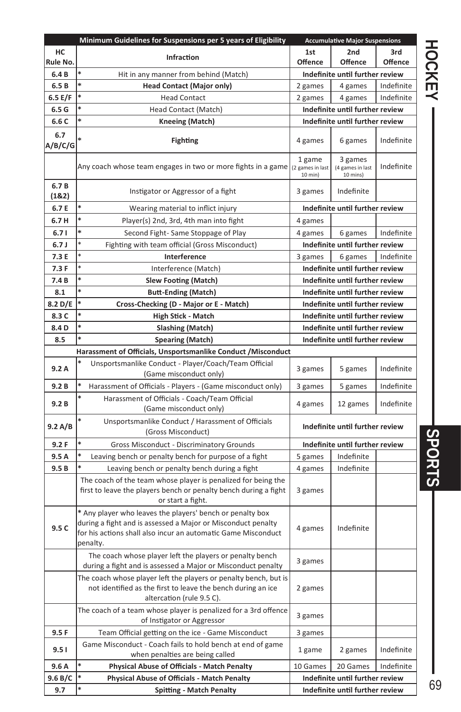|                | Minimum Guidelines for Suspensions per 5 years of Eligibility                                                                                                                                          |                   | <b>Accumulative Major Suspensions</b>   |                |               |
|----------------|--------------------------------------------------------------------------------------------------------------------------------------------------------------------------------------------------------|-------------------|-----------------------------------------|----------------|---------------|
| HC<br>Rule No. | <b>Infraction</b>                                                                                                                                                                                      | 1st<br>Offence    | 2nd<br>Offence                          | 3rd<br>Offence | <b>HOCKEY</b> |
| 6.4 B          | Hit in any manner from behind (Match)                                                                                                                                                                  |                   | Indefinite until further review         |                |               |
| 6.5B           | *<br><b>Head Contact (Major only)</b>                                                                                                                                                                  | 2 games           | 4 games                                 | Indefinite     |               |
| 6.5 E/F        | <b>Head Contact</b>                                                                                                                                                                                    | 2 games           | 4 games                                 | Indefinite     |               |
| 6.5G           | Head Contact (Match)                                                                                                                                                                                   |                   | Indefinite until further review         |                |               |
| 6.6 C          | ×<br><b>Kneeing (Match)</b>                                                                                                                                                                            |                   | Indefinite until further review         |                |               |
| 6.7<br>A/B/C/G | <b>Fighting</b>                                                                                                                                                                                        | 4 games           | 6 games                                 | Indefinite     |               |
|                | Any coach whose team engages in two or more fights in a game   (2 games in last                                                                                                                        | 1 game<br>10 min) | 3 games<br>(4 games in last<br>10 mins) | Indefinite     |               |
| 6.7B<br>(1&2)  | Instigator or Aggressor of a fight                                                                                                                                                                     |                   | Indefinite                              |                |               |
| 6.7 E          | Wearing material to inflict injury                                                                                                                                                                     |                   | Indefinite until further review         |                |               |
| 6.7H           | Player(s) 2nd, 3rd, 4th man into fight                                                                                                                                                                 | 4 games           |                                         |                |               |
| 6.71           | Second Fight- Same Stoppage of Play                                                                                                                                                                    | 4 games           | 6 games                                 | Indefinite     |               |
| 6.7J           | Fighting with team official (Gross Misconduct)                                                                                                                                                         |                   | Indefinite until further review         |                |               |
| 7.3 E          | Interference                                                                                                                                                                                           | 3 games           | 6 games                                 | Indefinite     |               |
| 7.3F           | Interference (Match)                                                                                                                                                                                   |                   | Indefinite until further review         |                |               |
| 7.4B           | *<br><b>Slew Footing (Match)</b>                                                                                                                                                                       |                   | Indefinite until further review         |                |               |
| 8.1            | <b>Butt-Ending (Match)</b>                                                                                                                                                                             |                   | Indefinite until further review         |                |               |
| 8.2 D/E        | Cross-Checking (D - Major or E - Match)                                                                                                                                                                |                   | Indefinite until further review         |                |               |
| 8.3 C          | High Stick - Match                                                                                                                                                                                     |                   | Indefinite until further review         |                |               |
| 8.4D           | <b>Slashing (Match)</b>                                                                                                                                                                                |                   | Indefinite until further review         |                |               |
| 8.5            | Spearing (Match)                                                                                                                                                                                       |                   | Indefinite until further review         |                |               |
|                | Harassment of Officials, Unsportsmanlike Conduct / Misconduct                                                                                                                                          |                   |                                         |                |               |
|                | Unsportsmanlike Conduct - Player/Coach/Team Official                                                                                                                                                   |                   |                                         |                |               |
| 9.2A           | (Game misconduct only)                                                                                                                                                                                 | 3 games           | 5 games                                 | Indefinite     |               |
| 9.2B           | Harassment of Officials - Players - (Game misconduct only)                                                                                                                                             | 3 games           | 5 games                                 | Indefinite     |               |
| 9.2 B          | Harassment of Officials - Coach/Team Official<br>(Game misconduct only)                                                                                                                                | 4 games           | 12 games                                | Indefinite     |               |
| 9.2 A/B        | Unsportsmanlike Conduct / Harassment of Officials<br>(Gross Misconduct)                                                                                                                                |                   | Indefinite until further review         |                |               |
| 9.2F           | Gross Misconduct - Discriminatory Grounds                                                                                                                                                              |                   | Indefinite until further review         |                |               |
| 9.5A           | Leaving bench or penalty bench for purpose of a fight                                                                                                                                                  | 5 games           | Indefinite                              |                |               |
| 9.5B           | Leaving bench or penalty bench during a fight                                                                                                                                                          | 4 games           | Indefinite                              |                |               |
|                | The coach of the team whose player is penalized for being the<br>first to leave the players bench or penalty bench during a fight<br>or start a fight.                                                 | 3 games           |                                         |                | <b>SPORTS</b> |
| 9.5C           | * Any player who leaves the players' bench or penalty box<br>during a fight and is assessed a Major or Misconduct penalty<br>for his actions shall also incur an automatic Game Misconduct<br>penalty. | 4 games           | Indefinite                              |                |               |
|                | The coach whose player left the players or penalty bench<br>during a fight and is assessed a Major or Misconduct penalty                                                                               | 3 games           |                                         |                |               |
|                | The coach whose player left the players or penalty bench, but is<br>not identified as the first to leave the bench during an ice<br>altercation (rule 9.5 C).                                          | 2 games           |                                         |                |               |
|                | The coach of a team whose player is penalized for a 3rd offence<br>of Instigator or Aggressor                                                                                                          | 3 games           |                                         |                |               |
| 9.5F           | Team Official getting on the ice - Game Misconduct                                                                                                                                                     | 3 games           |                                         |                |               |
| 9.51           | Game Misconduct - Coach fails to hold bench at end of game<br>when penalties are being called                                                                                                          | 1 game            | 2 games                                 | Indefinite     |               |
| 9.6 A          | Physical Abuse of Officials - Match Penalty                                                                                                                                                            | 10 Games          | 20 Games                                | Indefinite     |               |
| 9.6 B/C        | *<br>Physical Abuse of Officials - Match Penalty                                                                                                                                                       |                   | Indefinite until further review         |                |               |
| 9.7            | <b>Spitting - Match Penalty</b>                                                                                                                                                                        |                   | Indefinite until further review         |                | 69            |

# HOCKEY  $\begin{array}{|c|c|c|c|c|}\hline \texttt{HOORING}} \end{array}$ SPORTS

69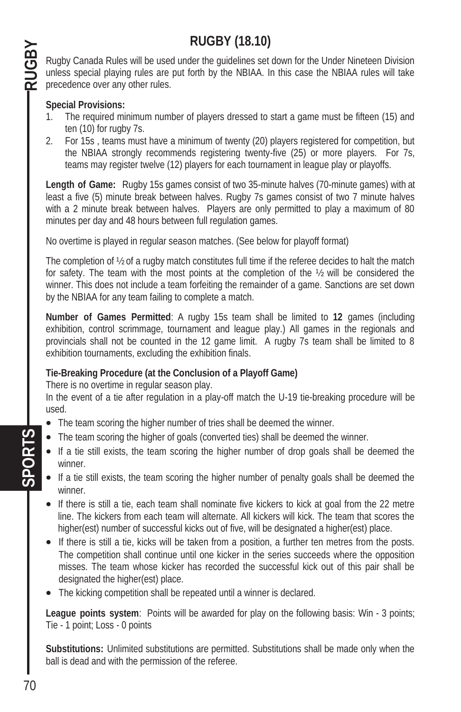# **RUGBY (18.10)**

Rugby Canada Rules will be used under the guidelines set down for the Under Nineteen Division unless special playing rules are put forth by the NBIAA. In this case the NBIAA rules will take precedence over any other rules.

#### **Special Provisions:**

RUGBY

- 1. The required minimum number of players dressed to start a game must be fifteen (15) and ten (10) for rugby 7s.
- 2. For 15s , teams must have a minimum of twenty (20) players registered for competition, but the NBIAA strongly recommends registering twenty-five (25) or more players. For 7s, teams may register twelve (12) players for each tournament in league play or playoffs.

**Length of Game:** Rugby 15s games consist of two 35-minute halves (70-minute games) with at least a five (5) minute break between halves. Rugby 7s games consist of two 7 minute halves with a 2 minute break between halves. Players are only permitted to play a maximum of 80 minutes per day and 48 hours between full regulation games.

No overtime is played in regular season matches. (See below for playoff format)

The completion of ½ of a rugby match constitutes full time if the referee decides to halt the match for safety. The team with the most points at the completion of the ½ will be considered the winner. This does not include a team forfeiting the remainder of a game. Sanctions are set down by the NBIAA for any team failing to complete a match.

**Number of Games Permitted**: A rugby 15s team shall be limited to **12** games (including exhibition, control scrimmage, tournament and league play.) All games in the regionals and provincials shall not be counted in the 12 game limit. A rugby 7s team shall be limited to 8 exhibition tournaments, excluding the exhibition finals.

#### **Tie-Breaking Procedure (at the Conclusion of a Playoff Game)**

There is no overtime in regular season play.

In the event of a tie after regulation in a play-off match the U-19 tie-breaking procedure will be used.

- The team scoring the higher number of tries shall be deemed the winner.
- The team scoring the higher of goals (converted ties) shall be deemed the winner.
- If a tie still exists, the team scoring the higher number of drop goals shall be deemed the winner.
- If a tie still exists, the team scoring the higher number of penalty goals shall be deemed the winner.
- $\bullet$  If there is still a tie, each team shall nominate five kickers to kick at goal from the 22 metre line. The kickers from each team will alternate. All kickers will kick. The team that scores the higher(est) number of successful kicks out of five, will be designated a higher(est) place.
- If there is still a tie, kicks will be taken from a position, a further ten metres from the posts. The competition shall continue until one kicker in the series succeeds where the opposition misses. The team whose kicker has recorded the successful kick out of this pair shall be designated the higher(est) place.
- The kicking competition shall be repeated until a winner is declared.

**League points system**: Points will be awarded for play on the following basis: Win - 3 points; Tie - 1 point; Loss - 0 points

**Substitutions:** Unlimited substitutions are permitted. Substitutions shall be made only when the ball is dead and with the permission of the referee.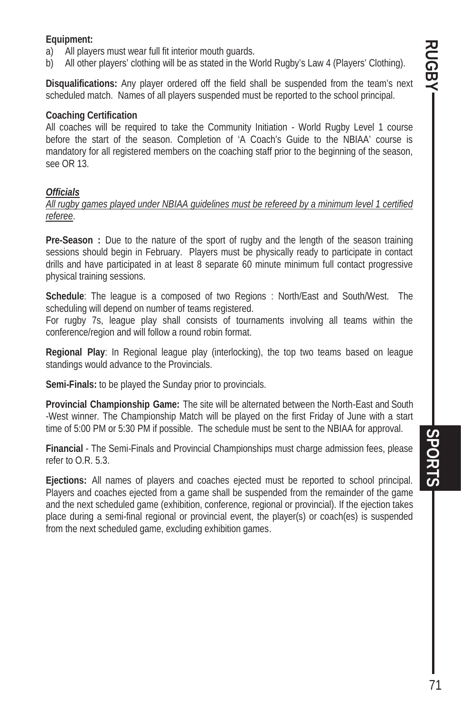#### **Equipment:**

- a) All players must wear full fit interior mouth guards.
- b) All other players' clothing will be as stated in the World Rugby's Law 4 (Players' Clothing).

**Disqualifications:** Any player ordered off the field shall be suspended from the team's next scheduled match. Names of all players suspended must be reported to the school principal.

#### **Coaching Certification**

All coaches will be required to take the Community Initiation - World Rugby Level 1 course before the start of the season. Completion of 'A Coach's Guide to the NBIAA' course is mandatory for all registered members on the coaching staff prior to the beginning of the season, see OR 13.

#### *Officials*

*All rugby games played under NBIAA guidelines must be refereed by a minimum level 1 certified referee*.

**Pre-Season :** Due to the nature of the sport of rugby and the length of the season training sessions should begin in February. Players must be physically ready to participate in contact drills and have participated in at least 8 separate 60 minute minimum full contact progressive physical training sessions.

**Schedule**: The league is a composed of two Regions : North/East and South/West. The scheduling will depend on number of teams registered.

For rugby 7s, league play shall consists of tournaments involving all teams within the conference/region and will follow a round robin format.

**Regional Play**: In Regional league play (interlocking), the top two teams based on league standings would advance to the Provincials.

**Semi-Finals:** to be played the Sunday prior to provincials.

**Provincial Championship Game:** The site will be alternated between the North-East and South -West winner. The Championship Match will be played on the first Friday of June with a start time of 5:00 PM or 5:30 PM if possible. The schedule must be sent to the NBIAA for approval.

**Financial** - The Semi-Finals and Provincial Championships must charge admission fees, please refer to O.R. 5.3.

**Ejections:** All names of players and coaches ejected must be reported to school principal. Players and coaches ejected from a game shall be suspended from the remainder of the game and the next scheduled game (exhibition, conference, regional or provincial). If the ejection takes place during a semi-final regional or provincial event, the player(s) or coach(es) is suspended from the next scheduled game, excluding exhibition games.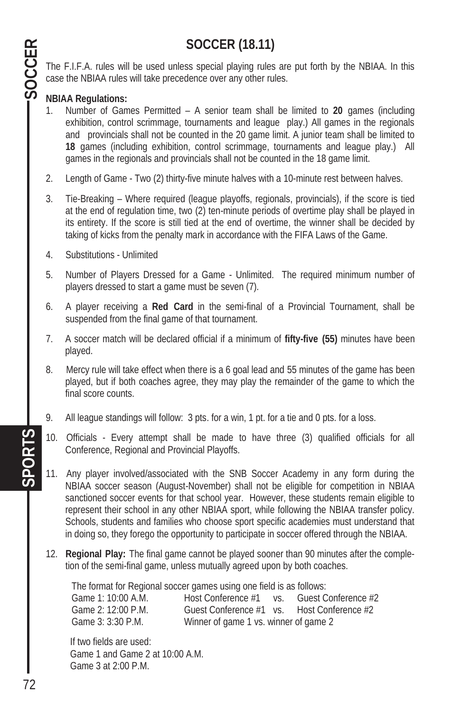# **SOCCER (18.11)**

The F.I.F.A. rules will be used unless special playing rules are put forth by the NBIAA. In this case the NBIAA rules will take precedence over any other rules.

#### **NBIAA Regulations:**

SOCCER

- 1. Number of Games Permitted A senior team shall be limited to **20** games (including exhibition, control scrimmage, tournaments and league play.) All games in the regionals and provincials shall not be counted in the 20 game limit. A junior team shall be limited to **18** games (including exhibition, control scrimmage, tournaments and league play.) All games in the regionals and provincials shall not be counted in the 18 game limit.
- 2. Length of Game Two (2) thirty-five minute halves with a 10-minute rest between halves.
- 3. Tie-Breaking Where required (league playoffs, regionals, provincials), if the score is tied at the end of regulation time, two (2) ten-minute periods of overtime play shall be played in its entirety. If the score is still tied at the end of overtime, the winner shall be decided by taking of kicks from the penalty mark in accordance with the FIFA Laws of the Game.
- 4. Substitutions Unlimited
- 5. Number of Players Dressed for a Game Unlimited. The required minimum number of players dressed to start a game must be seven (7).
- 6. A player receiving a **Red Card** in the semi-final of a Provincial Tournament, shall be suspended from the final game of that tournament.
- 7. A soccer match will be declared official if a minimum of **fifty-five (55)** minutes have been played.
- 8. Mercy rule will take effect when there is a 6 goal lead and 55 minutes of the game has been played, but if both coaches agree, they may play the remainder of the game to which the final score counts.
- 9. All league standings will follow: 3 pts. for a win, 1 pt. for a tie and 0 pts. for a loss.
- 10. Officials Every attempt shall be made to have three (3) qualified officials for all Conference, Regional and Provincial Playoffs.
- 11. Any player involved/associated with the SNB Soccer Academy in any form during the NBIAA soccer season (August-November) shall not be eligible for competition in NBIAA sanctioned soccer events for that school year. However, these students remain eligible to represent their school in any other NBIAA sport, while following the NBIAA transfer policy. Schools, students and families who choose sport specific academies must understand that in doing so, they forego the opportunity to participate in soccer offered through the NBIAA.
- 12. **Regional Play:** The final game cannot be played sooner than 90 minutes after the completion of the semi-final game, unless mutually agreed upon by both coaches.

 The format for Regional soccer games using one field is as follows: Game 1: 10:00 A.M. Host Conference #1 vs. Guest Conference #2 Game 2: 12:00 P.M. Guest Conference #1 vs. Host Conference #2 Game 3: 3:30 P.M. Winner of game 1 vs. winner of game 2

 If two fields are used: Game 1 and Game 2 at 10:00 A.M. Game 3 at 2:00 P.M.

SPORTS **Social Contract Contract Contract Contract Contract Contract Contract Contract Contract Contract Contract Contract Contract Contract Contract Contract Contract Contract Contract Contract Contract Contract Contract SPORTS**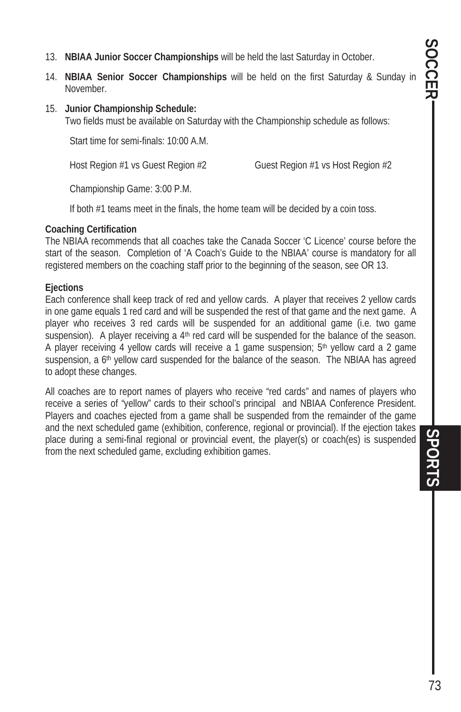- 13. **NBIAA Junior Soccer Championships** will be held the last Saturday in October.
- 14. **NBIAA Senior Soccer Championships** will be held on the first Saturday & Sunday in November.
- 15. **Junior Championship Schedule:**

Two fields must be available on Saturday with the Championship schedule as follows:

Start time for semi-finals: 10:00 A.M.

Host Region #1 vs Guest Region #2 Guest Region #1 vs Host Region #2

Championship Game: 3:00 P.M.

If both #1 teams meet in the finals, the home team will be decided by a coin toss.

#### **Coaching Certification**

The NBIAA recommends that all coaches take the Canada Soccer 'C Licence' course before the start of the season. Completion of 'A Coach's Guide to the NBIAA' course is mandatory for all registered members on the coaching staff prior to the beginning of the season, see OR 13.

#### **Ejections**

Each conference shall keep track of red and yellow cards. A player that receives 2 yellow cards in one game equals 1 red card and will be suspended the rest of that game and the next game. A player who receives 3 red cards will be suspended for an additional game (i.e. two game suspension). A player receiving a 4<sup>th</sup> red card will be suspended for the balance of the season. A player receiving 4 yellow cards will receive a 1 game suspension;  $5<sup>th</sup>$  yellow card a 2 game suspension, a 6th yellow card suspended for the balance of the season. The NBIAA has agreed to adopt these changes.

All coaches are to report names of players who receive "red cards" and names of players who receive a series of "yellow" cards to their school's principal and NBIAA Conference President. Players and coaches ejected from a game shall be suspended from the remainder of the game and the next scheduled game (exhibition, conference, regional or provincial). If the ejection takes place during a semi-final regional or provincial event, the player(s) or coach(es) is suspended from the next scheduled game, excluding exhibition games.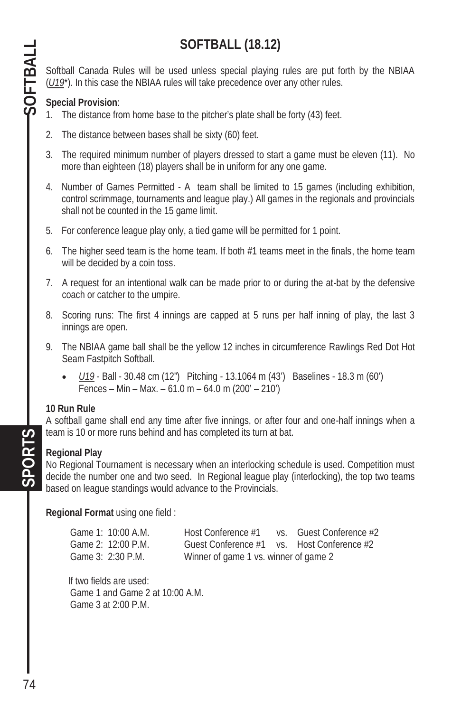# **SOFTBALL (18.12)**

Softball Canada Rules will be used unless special playing rules are put forth by the NBIAA (*U19*\*). In this case the NBIAA rules will take precedence over any other rules.

#### **Special Provision**:

- 1. The distance from home base to the pitcher's plate shall be forty (43) feet.
- 2. The distance between bases shall be sixty (60) feet.
- 3. The required minimum number of players dressed to start a game must be eleven (11). No more than eighteen (18) players shall be in uniform for any one game.
- 4. Number of Games Permitted A team shall be limited to 15 games (including exhibition, control scrimmage, tournaments and league play.) All games in the regionals and provincials shall not be counted in the 15 game limit.
- 5. For conference league play only, a tied game will be permitted for 1 point.
- 6. The higher seed team is the home team. If both #1 teams meet in the finals, the home team will be decided by a coin toss.
- 7. A request for an intentional walk can be made prior to or during the at-bat by the defensive coach or catcher to the umpire.
- 8. Scoring runs: The first 4 innings are capped at 5 runs per half inning of play, the last 3 innings are open.
- 9. The NBIAA game ball shall be the yellow 12 inches in circumference Rawlings Red Dot Hot Seam Fastpitch Softball.
	- x *U19* Ball 30.48 cm (12") Pitching 13.1064 m (43') Baselines 18.3 m (60') Fences – Min – Max. – 61.0 m – 64.0 m (200' – 210')

#### **10 Run Rule**

A softball game shall end any time after five innings, or after four and one-half innings when a team is 10 or more runs behind and has completed its turn at bat.

#### **Regional Play**

No Regional Tournament is necessary when an interlocking schedule is used. Competition must decide the number one and two seed. In Regional league play (interlocking), the top two teams based on league standings would advance to the Provincials.

**Regional Format** using one field :

| Game 1: 10:00 A.M. | Host Conference #1                         | vs. Guest Conference #2 |
|--------------------|--------------------------------------------|-------------------------|
| Game 2: 12:00 P.M. | Guest Conference #1 vs. Host Conference #2 |                         |
| Game 3: 2:30 P.M.  | Winner of game 1 vs. winner of game 2      |                         |

If two fields are used: Game 1 and Game 2 at 10:00 A.M. Game 3 at 2:00 P.M.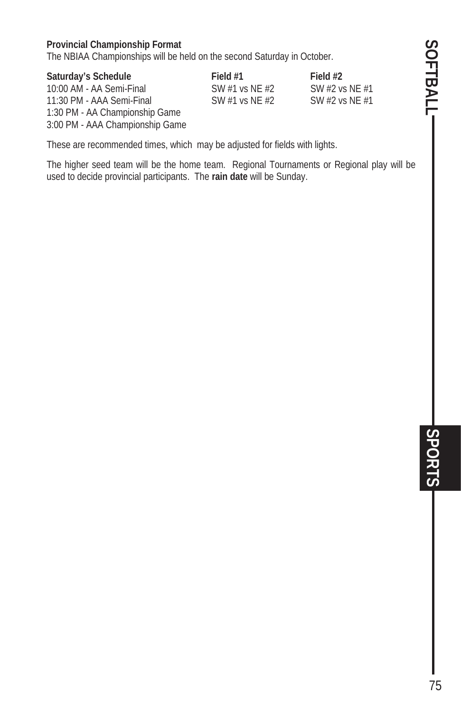#### **Provincial Championship Format**

The NBIAA Championships will be held on the second Saturday in October.

#### **Saturday's Schedule Field #1 Field #2**

10:00 AM - AA Semi-Final SW #1 vs NE #2 SW #2 vs NE #1<br>11:30 PM - AAA Semi-Final SW #1 vs NE #2 SW #2 vs NE #1 11:30 PM - AAA Semi-Final SW #1 vs NE  $#2$ 1:30 PM - AA Championship Game 3:00 PM - AAA Championship Game

These are recommended times, which may be adjusted for fields with lights.

The higher seed team will be the home team. Regional Tournaments or Regional play will be used to decide provincial participants. The **rain date** will be Sunday.

SOFTBALL-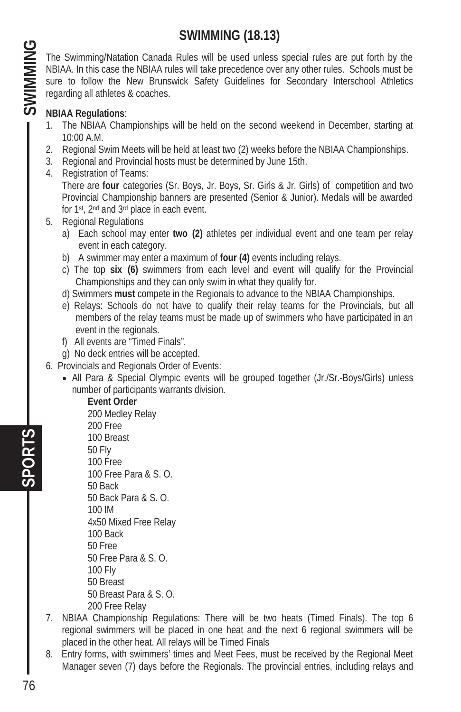### **SWIMMING (18.13)**

The Swimming/Natation Canada Rules will be used unless special rules are put forth by the NBIAA. In this case the NBIAA rules will take precedence over any other rules. Schools must be sure to follow the New Brunswick Safety Guidelines for Secondary Interschool Athletics regarding all athletes & coaches.

#### **NBIAA Regulations**:

- 1. The NBIAA Championships will be held on the second weekend in December, starting at 10:00 A.M.
- 2. Regional Swim Meets will be held at least two (2) weeks before the NBIAA Championships.
- 3. Regional and Provincial hosts must be determined by June 15th.
- 4. Registration of Teams: There are **four** categories (Sr. Boys, Jr. Boys, Sr. Girls & Jr. Girls) of competition and two Provincial Championship banners are presented (Senior & Junior). Medals will be awarded for 1st, 2nd and 3rd place in each event.
- 5. Regional Regulations
	- a) Each school may enter **two (2)** athletes per individual event and one team per relay event in each category.
	- b) A swimmer may enter a maximum of **four (4)** events including relays.
	- c) The top **six (6)** swimmers from each level and event will qualify for the Provincial Championships and they can only swim in what they qualify for.
	- d) Swimmers **must** compete in the Regionals to advance to the NBIAA Championships.
	- e) Relays: Schools do not have to qualify their relay teams for the Provincials, but all members of the relay teams must be made up of swimmers who have participated in an event in the regionals.
	- f) All events are "Timed Finals".
	- g) No deck entries will be accepted.
- 6. Provincials and Regionals Order of Events:
	- All Para & Special Olympic events will be grouped together (Jr./Sr.-Boys/Girls) unless number of participants warrants division.

#### **Event Order**

 200 Medley Relay 200 Free 100 Breast 50 Fly 100 Free 100 Free Para & S. O. 50 Back 50 Back Para & S. O. 100 IM 4x50 Mixed Free Relay 100 Back 50 Free 50 Free Para & S. O. 100 Fly 50 Breast 50 Breast Para & S. O. 200 Free Relay

- 7. NBIAA Championship Regulations: There will be two heats (Timed Finals). The top 6 regional swimmers will be placed in one heat and the next 6 regional swimmers will be placed in the other heat. All relays will be Timed Finals
- 8. Entry forms, with swimmers' times and Meet Fees, must be received by the Regional Meet Manager seven (7) days before the Regionals. The provincial entries, including relays and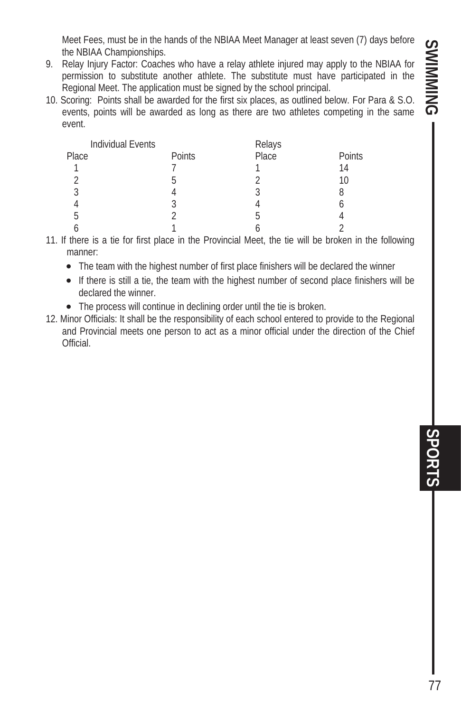Meet Fees, must be in the hands of the NBIAA Meet Manager at least seven (7) days before the NBIAA Championships.

- 9. Relay Injury Factor: Coaches who have a relay athlete injured may apply to the NBIAA for permission to substitute another athlete. The substitute must have participated in the Regional Meet. The application must be signed by the school principal.
- 10. Scoring: Points shall be awarded for the first six places, as outlined below. For Para & S.O. events, points will be awarded as long as there are two athletes competing in the same event.

| Individual Events |        | Relays |        |
|-------------------|--------|--------|--------|
| Place             | Points | Place  | Points |
|                   |        |        | 14     |
| ◠                 |        |        | 10     |
| 3                 |        |        |        |
|                   |        |        |        |
| b                 |        |        |        |
|                   |        |        |        |

11. If there is a tie for first place in the Provincial Meet, the tie will be broken in the following manner:

- The team with the highest number of first place finishers will be declared the winner
- If there is still a tie, the team with the highest number of second place finishers will be declared the winner.
- The process will continue in declining order until the tie is broken.
- 12. Minor Officials: It shall be the responsibility of each school entered to provide to the Regional and Provincial meets one person to act as a minor official under the direction of the Chief Official.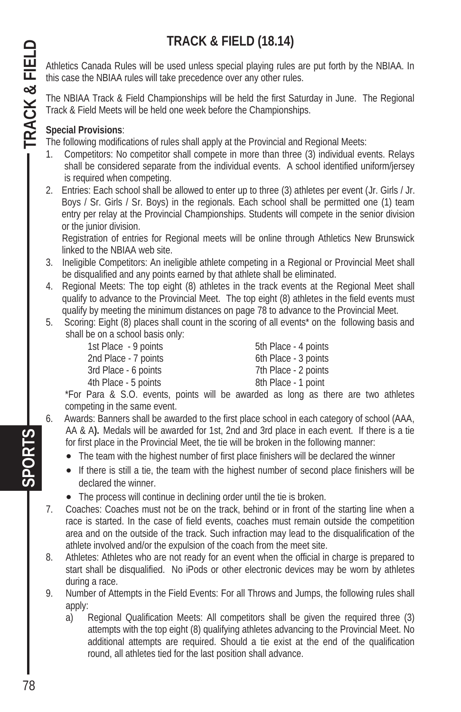# **TRACK & FIELD (18.14)**

Athletics Canada Rules will be used unless special playing rules are put forth by the NBIAA. In this case the NBIAA rules will take precedence over any other rules.

The NBIAA Track & Field Championships will be held the first Saturday in June. The Regional Track & Field Meets will be held one week before the Championships.

#### **Special Provisions**:

The following modifications of rules shall apply at the Provincial and Regional Meets:

- 1. Competitors: No competitor shall compete in more than three (3) individual events. Relays shall be considered separate from the individual events. A school identified uniform/jersey is required when competing.
- 2. Entries: Each school shall be allowed to enter up to three (3) athletes per event (Jr. Girls / Jr. Boys / Sr. Girls / Sr. Boys) in the regionals. Each school shall be permitted one (1) team entry per relay at the Provincial Championships. Students will compete in the senior division or the junior division.

Registration of entries for Regional meets will be online through Athletics New Brunswick linked to the NBIAA web site.

- 3. Ineligible Competitors: An ineligible athlete competing in a Regional or Provincial Meet shall be disqualified and any points earned by that athlete shall be eliminated.
- 4. Regional Meets: The top eight (8) athletes in the track events at the Regional Meet shall qualify to advance to the Provincial Meet. The top eight (8) athletes in the field events must qualify by meeting the minimum distances on page 78 to advance to the Provincial Meet.
- 5. Scoring: Eight (8) places shall count in the scoring of all events\* on the following basis and shall be on a school basis only:

| 1st Place - 9 points | 5th Place - 4 points |
|----------------------|----------------------|
| 2nd Place - 7 points | 6th Place - 3 points |
| 3rd Place - 6 points | 7th Place - 2 points |
| 4th Place - 5 points | 8th Place - 1 point  |
|                      |                      |

\*For Para & S.O. events, points will be awarded as long as there are two athletes competing in the same event.

- 6. Awards: Banners shall be awarded to the first place school in each category of school (AAA, AA & A**).** Medals will be awarded for 1st, 2nd and 3rd place in each event. If there is a tie for first place in the Provincial Meet, the tie will be broken in the following manner:
	- The team with the highest number of first place finishers will be declared the winner
	- If there is still a tie, the team with the highest number of second place finishers will be declared the winner.
	- The process will continue in declining order until the tie is broken.
- 7. Coaches: Coaches must not be on the track, behind or in front of the starting line when a race is started. In the case of field events, coaches must remain outside the competition area and on the outside of the track. Such infraction may lead to the disqualification of the athlete involved and/or the expulsion of the coach from the meet site.
- 8. Athletes: Athletes who are not ready for an event when the official in charge is prepared to start shall be disqualified. No iPods or other electronic devices may be worn by athletes during a race.
- 9. Number of Attempts in the Field Events: For all Throws and Jumps, the following rules shall apply:
	- a) Regional Qualification Meets: All competitors shall be given the required three (3) attempts with the top eight (8) qualifying athletes advancing to the Provincial Meet. No additional attempts are required. Should a tie exist at the end of the qualification round, all athletes tied for the last position shall advance.

**SPORTS TRACK & FIELD**  TRACK & FIELD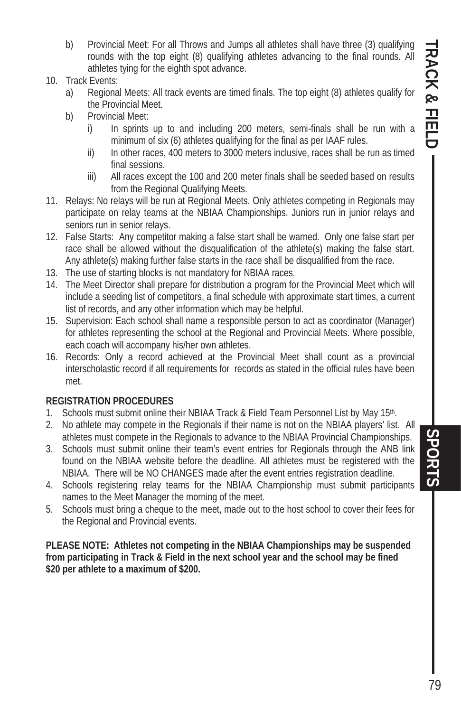- b) Provincial Meet: For all Throws and Jumps all athletes shall have three (3) qualifying rounds with the top eight (8) qualifying athletes advancing to the final rounds. All athletes tying for the eighth spot advance.
- 10. Track Events:
	- a) Regional Meets: All track events are timed finals. The top eight (8) athletes qualify for the Provincial Meet.
	- b) Provincial Meet:
		- i) In sprints up to and including 200 meters, semi-finals shall be run with a minimum of six (6) athletes qualifying for the final as per IAAF rules.
		- ii) In other races, 400 meters to 3000 meters inclusive, races shall be run as timed final sessions.
		- iii) All races except the 100 and 200 meter finals shall be seeded based on results from the Regional Qualifying Meets.
- 11. Relays: No relays will be run at Regional Meets. Only athletes competing in Regionals may participate on relay teams at the NBIAA Championships. Juniors run in junior relays and seniors run in senior relays.
- 12. False Starts: Any competitor making a false start shall be warned. Only one false start per race shall be allowed without the disqualification of the athlete(s) making the false start. Any athlete(s) making further false starts in the race shall be disqualified from the race.
- 13. The use of starting blocks is not mandatory for NBIAA races.
- 14. The Meet Director shall prepare for distribution a program for the Provincial Meet which will include a seeding list of competitors, a final schedule with approximate start times, a current list of records, and any other information which may be helpful.
- 15. Supervision: Each school shall name a responsible person to act as coordinator (Manager) for athletes representing the school at the Regional and Provincial Meets. Where possible, each coach will accompany his/her own athletes.
- 16. Records: Only a record achieved at the Provincial Meet shall count as a provincial interscholastic record if all requirements for records as stated in the official rules have been met.

#### **REGISTRATION PROCEDURES**

- 1. Schools must submit online their NBIAA Track & Field Team Personnel List by May 15<sup>th</sup>.
- 2. No athlete may compete in the Regionals if their name is not on the NBIAA players' list. All athletes must compete in the Regionals to advance to the NBIAA Provincial Championships.
- 3. Schools must submit online their team's event entries for Regionals through the ANB link found on the NBIAA website before the deadline. All athletes must be registered with the NBIAA. There will be NO CHANGES made after the event entries registration deadline.
- 4. Schools registering relay teams for the NBIAA Championship must submit participants names to the Meet Manager the morning of the meet.
- 5. Schools must bring a cheque to the meet, made out to the host school to cover their fees for the Regional and Provincial events.

**PLEASE NOTE: Athletes not competing in the NBIAA Championships may be suspended from participating in Track & Field in the next school year and the school may be fined \$20 per athlete to a maximum of \$200.** 

**SPORTS**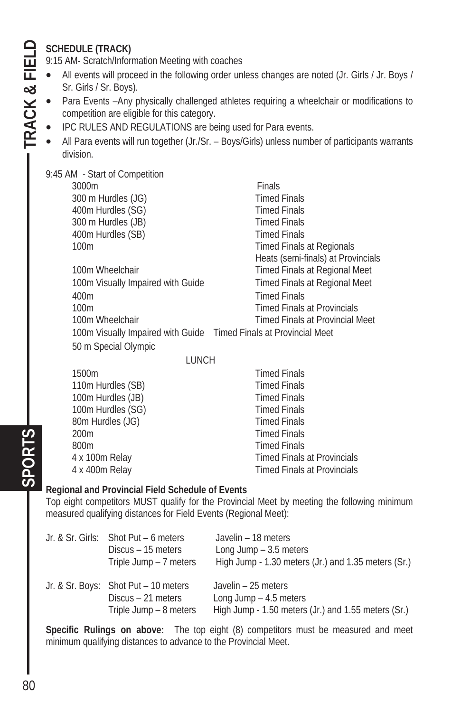#### **SCHEDULE (TRACK)**

9:15 AM- Scratch/Information Meeting with coaches

- All events will proceed in the following order unless changes are noted (Jr. Girls / Jr. Boys / Sr. Girls / Sr. Boys).
- Para Events –Any physically challenged athletes requiring a wheelchair or modifications to competition are eligible for this category.
- IPC RULES AND REGULATIONS are being used for Para events.
- All Para events will run together (Jr./Sr. Boys/Girls) unless number of participants warrants division.

9:45 AM - Start of Competition

**3000m** Finals 300 m Hurdles (JG) Timed Finals 400m Hurdles (SG) Timed Finals 300 m Hurdles (JB) Timed Finals 400m Hurdles (SB) Timed Finals 100m **Timed Finals at Regionals**  Heats (semi-finals) at Provincials 100m Wheelchair **Timed Finals at Regional Meet** 100m Visually Impaired with Guide Timed Finals at Regional Meet 400m Timed Finals 100m Timed Finals at Provincials 100m Wheelchair **Timed Finals at Provincial Meet**  100m Visually Impaired with Guide Timed Finals at Provincial Meet 50 m Special Olympic

**LUNCH** 

| 1500m             | <b>Timed Finals</b>                |
|-------------------|------------------------------------|
| 110m Hurdles (SB) | <b>Timed Finals</b>                |
| 100m Hurdles (JB) | <b>Timed Finals</b>                |
| 100m Hurdles (SG) | <b>Timed Finals</b>                |
| 80m Hurdles (JG)  | <b>Timed Finals</b>                |
| 200 <sub>m</sub>  | <b>Timed Finals</b>                |
| 800m              | <b>Timed Finals</b>                |
| 4 x 100m Relay    | <b>Timed Finals at Provincials</b> |
| 4 x 400m Relay    | <b>Timed Finals at Provincials</b> |

#### **Regional and Provincial Field Schedule of Events**

Top eight competitors MUST qualify for the Provincial Meet by meeting the following minimum measured qualifying distances for Field Events (Regional Meet):

| Jr. & Sr. Girls: Shot Put – 6 meters<br>Discus – 15 meters<br>Triple Jump - 7 meters | Javelin - 18 meters<br>Long Jump $-3.5$ meters<br>High Jump - 1.30 meters (Jr.) and 1.35 meters (Sr.) |
|--------------------------------------------------------------------------------------|-------------------------------------------------------------------------------------------------------|
| Jr. & Sr. Boys: Shot Put - 10 meters<br>Discus – 21 meters<br>Triple Jump - 8 meters | Javelin - 25 meters<br>Long Jump $-4.5$ meters<br>High Jump - 1.50 meters (Jr.) and 1.55 meters (Sr.) |

**Specific Rulings on above:** The top eight (8) competitors must be measured and meet minimum qualifying distances to advance to the Provincial Meet.

# **SPORTS TRACK & FIELD**  TRACK & FIELD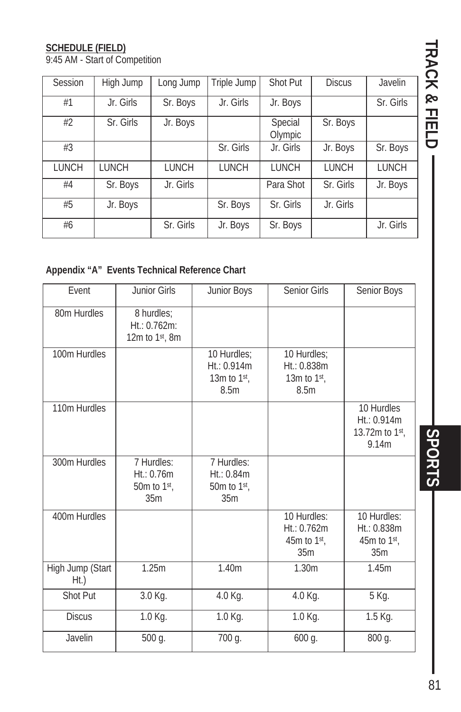#### **SCHEDULE (FIELD)**

9:45 AM - Start of Competition

| Session      | High Jump | Long Jump    | Triple Jump  | Shot Put           | <b>Discus</b> | Javelin      |
|--------------|-----------|--------------|--------------|--------------------|---------------|--------------|
| #1           | Jr. Girls | Sr. Boys     | Jr. Girls    | Jr. Boys           |               | Sr. Girls    |
| #2           | Sr. Girls | Jr. Boys     |              | Special<br>Olympic | Sr. Boys      |              |
| #3           |           |              | Sr. Girls    | Jr. Girls          | Jr. Boys      | Sr. Boys     |
| <b>LUNCH</b> | LUNCH     | <b>LUNCH</b> | <b>LUNCH</b> | LUNCH              | <b>LUNCH</b>  | <b>LUNCH</b> |
| #4           | Sr. Boys  | Jr. Girls    |              | Para Shot          | Sr. Girls     | Jr. Boys     |
| #5           | Jr. Boys  |              | Sr. Boys     | Sr. Girls          | Jr. Girls     |              |
| #6           |           | Sr. Girls    | Jr. Boys     | Sr. Boys           |               | Jr. Girls    |

#### **Appendix "A" Events Technical Reference Chart**

| Event                       | Junior Girls                                             | Junior Boys                                         | Senior Girls                                                      | Senior Boys                                                       |
|-----------------------------|----------------------------------------------------------|-----------------------------------------------------|-------------------------------------------------------------------|-------------------------------------------------------------------|
| 80m Hurdles                 | 8 hurdles:<br>$Ht$ : 0.762m:<br>12 $m$ to 1 $st$ , 8 $m$ |                                                     |                                                                   |                                                                   |
| 100m Hurdles                |                                                          | 10 Hurdles:<br>Ht: 0.914m<br>13 $m$ to 1st,<br>8.5m | 10 Hurdles:<br>$Ht$ : 0.838m<br>13m to $1st$ ,<br>8.5m            |                                                                   |
| 110m Hurdles                |                                                          |                                                     |                                                                   | 10 Hurdles<br>$Ht$ : 0.914m<br>13.72m to 1st,<br>9.14m            |
| 300m Hurdles                | 7 Hurdles:<br>Ht: 0.76m<br>50 $m$ to 1st,<br>35m         | 7 Hurdles:<br>$Ht$ : 0.84m<br>50 $m$ to 1st,<br>35m |                                                                   |                                                                   |
| 400m Hurdles                |                                                          |                                                     | 10 Hurdles:<br>$Ht$ : 0.762m<br>45m to $1st$ ,<br>35 <sub>m</sub> | 10 Hurdles:<br>$Ht$ : 0.838m<br>45m to $1st$ ,<br>35 <sub>m</sub> |
| High Jump (Start<br>$Ht$ .) | 1.25m                                                    | 1.40m                                               | 1.30m                                                             | 1.45m                                                             |
| Shot Put                    | 3.0 Kg.                                                  | 4.0 Kg.                                             | 4.0 Kg.                                                           | 5 Kg.                                                             |
| <b>Discus</b>               | 1.0 Kg.                                                  | $\overline{1}$ .0 Kg.                               | 1.0 Kg.                                                           | 1.5 Kg.                                                           |
| Javelin                     | 500 g.                                                   | 700 g.                                              | 600 g.                                                            | 800 g.                                                            |

TRACK & FIELD **TRACK & FIELD SPORTS** 

SPORTS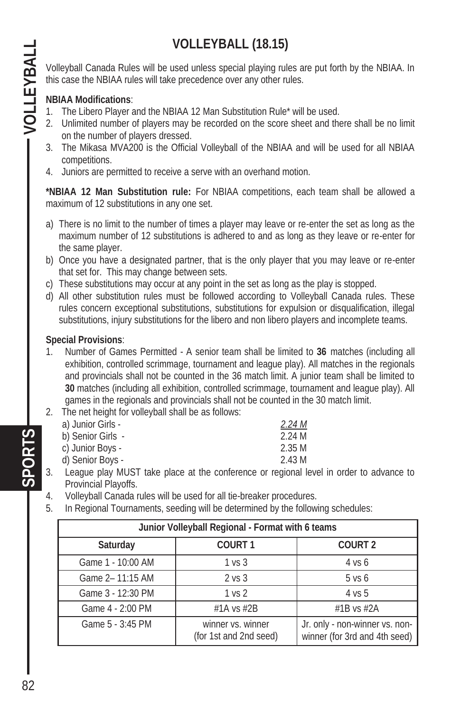# **VOLLEYBALL (18.15)**

Volleyball Canada Rules will be used unless special playing rules are put forth by the NBIAA. In this case the NBIAA rules will take precedence over any other rules.

#### **NBIAA Modifications**:

- 1. The Libero Player and the NBIAA 12 Man Substitution Rule\* will be used.
- 2. Unlimited number of players may be recorded on the score sheet and there shall be no limit on the number of players dressed.
- 3. The Mikasa MVA200 is the Official Volleyball of the NBIAA and will be used for all NBIAA competitions.
- 4. Juniors are permitted to receive a serve with an overhand motion.

**\*NBIAA 12 Man Substitution rule:** For NBIAA competitions, each team shall be allowed a maximum of 12 substitutions in any one set.

- a) There is no limit to the number of times a player may leave or re-enter the set as long as the maximum number of 12 substitutions is adhered to and as long as they leave or re-enter for the same player.
- b) Once you have a designated partner, that is the only player that you may leave or re-enter that set for. This may change between sets.
- c) These substitutions may occur at any point in the set as long as the play is stopped.
- d) All other substitution rules must be followed according to Volleyball Canada rules. These rules concern exceptional substitutions, substitutions for expulsion or disqualification, illegal substitutions, injury substitutions for the libero and non libero players and incomplete teams.

#### **Special Provisions**:

- 1. Number of Games Permitted A senior team shall be limited to **36** matches (including all exhibition, controlled scrimmage, tournament and league play). All matches in the regionals and provincials shall not be counted in the 36 match limit. A junior team shall be limited to **30** matches (including all exhibition, controlled scrimmage, tournament and league play). All games in the regionals and provincials shall not be counted in the 30 match limit.
- 2. The net height for volleyball shall be as follows:

| a) Junior Girls - | 2.24M  |
|-------------------|--------|
| b) Senior Girls - | 2.24 M |
| c) Junior Boys -  | 2.35 M |
| d) Senior Boys -  | 2.43 M |

- 3. League play MUST take place at the conference or regional level in order to advance to Provincial Playoffs.
- 4. Volleyball Canada rules will be used for all tie-breaker procedures.
- 5. In Regional Tournaments, seeding will be determined by the following schedules:

| Junior Volleyball Regional - Format with 6 teams |                                             |                                                                 |  |
|--------------------------------------------------|---------------------------------------------|-----------------------------------------------------------------|--|
| Saturday                                         | COURT <sub>1</sub>                          | COURT <sub>2</sub>                                              |  |
| Game 1 - 10:00 AM                                | 1 vs 3                                      | 4 vs 6                                                          |  |
| Game 2-11:15 AM                                  | 2 vs 3                                      | $5$ vs $6$                                                      |  |
| Game 3 - 12:30 PM                                | 1 vs 2                                      | 4 vs 5                                                          |  |
| Game 4 - 2:00 PM                                 | #1A vs $#2B$                                | $\#1B$ vs $\#2A$                                                |  |
| Game 5 - 3:45 PM                                 | winner vs. winner<br>(for 1st and 2nd seed) | Jr. only - non-winner vs. non-<br>winner (for 3rd and 4th seed) |  |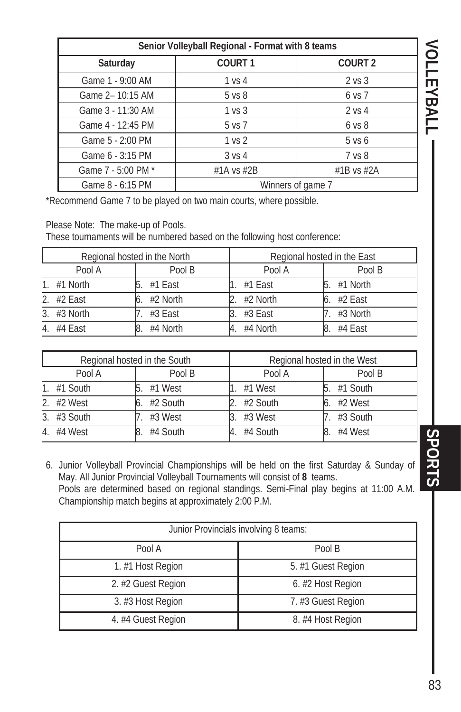| Senior Volleyball Regional - Format with 8 teams |                    |                    |   |
|--------------------------------------------------|--------------------|--------------------|---|
| Saturday                                         | COURT <sub>1</sub> | COURT <sub>2</sub> |   |
| Game 1 - 9:00 AM                                 | 1 vs 4             | 2 <sub>vs</sub> 3  | ┳ |
| Game 2-10:15 AM                                  | 5 <sub>vs</sub> 8  | 6 vs 7             | ᡂ |
| Game 3 - 11:30 AM                                | 1 vs 3             | 2 vs 4             | ⋗ |
| Game 4 - 12:45 PM                                | 5 vs 7             | 6 <sub>VS</sub> 8  |   |
| Game 5 - 2:00 PM                                 | 1 <sub>vs</sub> 2  | $5$ vs $6$         |   |
| Game 6 - 3:15 PM                                 | 3 vs 4             | 7 vs 8             |   |
| Game 7 - 5:00 PM *                               | #1A vs $#2B$       | #1B vs $#2A$       |   |
| Game 8 - 6:15 PM                                 | Winners of game 7  |                    |   |

\*Recommend Game 7 to be played on two main courts, where possible.

Please Note: The make-up of Pools.

These tournaments will be numbered based on the following host conference:

| Regional hosted in the North |            | Regional hosted in the East |           |          |
|------------------------------|------------|-----------------------------|-----------|----------|
|                              | Pool A     | Pool B                      | Pool A    | Pool B   |
| 1.                           | #1 North   | #1 East                     | $#1$ East | #1 North |
|                              | 2. #2 East | #2 North                    | #2 North  | #2 East  |
| 3.                           | #3 North   | #3 East                     | #3 East   | #3 North |
| 4.                           | #4 East    | #4 North                    | #4 North  | #4 East  |

| Regional hosted in the South |          | Regional hosted in the West |          |          |
|------------------------------|----------|-----------------------------|----------|----------|
|                              | Pool A   | Pool B                      | Pool A   | Pool B   |
| 11.                          | #1 South | #1 West                     | #1 West  | #1 South |
| 2.                           | #2 West  | #2 South                    | #2 South | #2 West  |
| 3                            | #3 South | #3 West                     | #3 West  | #3 South |
| $\overline{4}$               | #4 West  | #4 South                    | #4 South | #4 West  |

6. Junior Volleyball Provincial Championships will be held on the first Saturday & Sunday of May. All Junior Provincial Volleyball Tournaments will consist of **8** teams. Pools are determined based on regional standings. Semi-Final play begins at 11:00 A.M. Championship match begins at approximately 2:00 P.M.

| Junior Provincials involving 8 teams: |                    |  |
|---------------------------------------|--------------------|--|
| Pool A                                | Pool B             |  |
| 1. #1 Host Region                     | 5. #1 Guest Region |  |
| 2. #2 Guest Region                    | 6. #2 Host Region  |  |
| 3. #3 Host Region                     | 7. #3 Guest Region |  |
| 4. #4 Guest Region                    | 8. #4 Host Region  |  |

**VOLLEYBALL SPORTS SPORTS**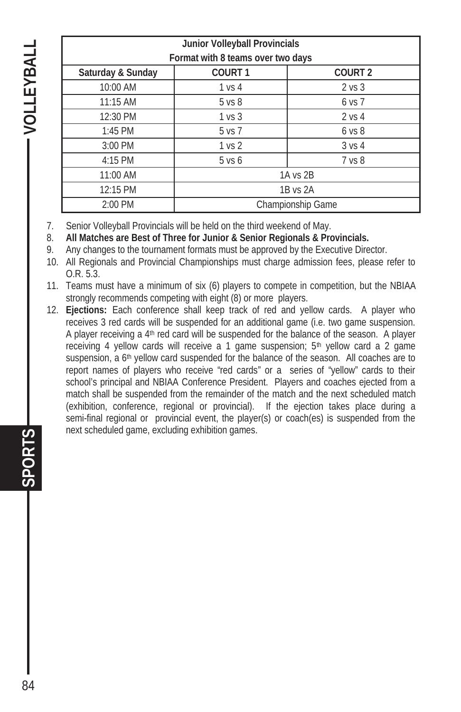**SPORTS VOLLEYBALL**  - VOLLEYBALI

| Junior Volleyball Provincials     |                   |                   |  |
|-----------------------------------|-------------------|-------------------|--|
| Format with 8 teams over two days |                   |                   |  |
| Saturday & Sunday                 | <b>COURT1</b>     | <b>COURT 2</b>    |  |
| 10:00 AM                          | 1 vs 4            | 2 vs 3            |  |
| 11:15 AM                          | 5 <sub>vs</sub> 8 | $6$ vs $7$        |  |
| 12:30 PM                          | 1 vs 3            | 2 vs 4            |  |
| $1:45$ PM                         | 5 vs 7            | 6 <sub>VS</sub>   |  |
| $3:00$ PM                         | 1 <sub>vs</sub> 2 | 3 <sub>vs</sub> 4 |  |
| $4:15$ PM                         | $5$ vs $6$        | 7 vs 8            |  |
| 11:00 AM                          | 1A vs 2B          |                   |  |
| 12:15 PM                          | 1B vs 2A          |                   |  |
| 2:00 PM                           | Championship Game |                   |  |
|                                   |                   |                   |  |

- 7. Senior Volleyball Provincials will be held on the third weekend of May.
- 8. **All Matches are Best of Three for Junior & Senior Regionals & Provincials.**
- 9. Any changes to the tournament formats must be approved by the Executive Director.
- 10. All Regionals and Provincial Championships must charge admission fees, please refer to O.R. 5.3.
- 11. Teams must have a minimum of six (6) players to compete in competition, but the NBIAA strongly recommends competing with eight (8) or more players.
- 12. **Ejections:** Each conference shall keep track of red and yellow cards. A player who receives 3 red cards will be suspended for an additional game (i.e. two game suspension. A player receiving a 4th red card will be suspended for the balance of the season. A player receiving 4 yellow cards will receive a 1 game suspension; 5<sup>th</sup> yellow card a 2 game suspension, a  $6<sup>th</sup>$  yellow card suspended for the balance of the season. All coaches are to report names of players who receive "red cards" or a series of "yellow" cards to their school's principal and NBIAA Conference President. Players and coaches ejected from a match shall be suspended from the remainder of the match and the next scheduled match (exhibition, conference, regional or provincial). If the ejection takes place during a semi-final regional or provincial event, the player(s) or coach(es) is suspended from the next scheduled game, excluding exhibition games.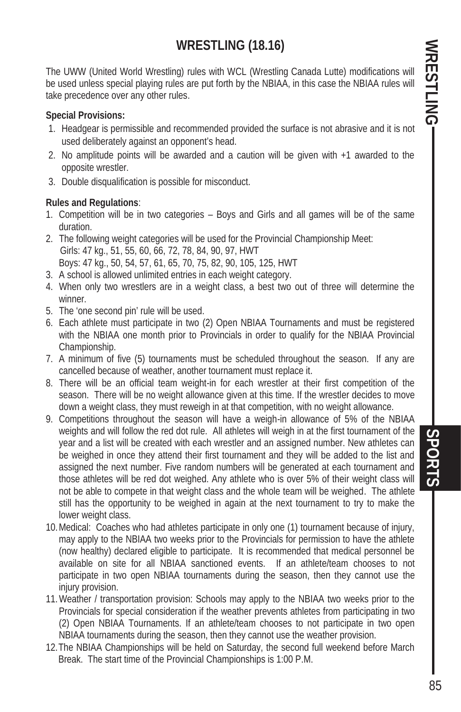## **WRESTLING (18.16)**

The UWW (United World Wrestling) rules with WCL (Wrestling Canada Lutte) modifications will be used unless special playing rules are put forth by the NBIAA, in this case the NBIAA rules will take precedence over any other rules.

#### **Special Provisions:**

- 1. Headgear is permissible and recommended provided the surface is not abrasive and it is not used deliberately against an opponent's head.
- 2. No amplitude points will be awarded and a caution will be given with +1 awarded to the opposite wrestler.
- 3. Double disqualification is possible for misconduct.

#### **Rules and Regulations**:

- 1. Competition will be in two categories Boys and Girls and all games will be of the same duration.
- 2. The following weight categories will be used for the Provincial Championship Meet: Girls: 47 kg., 51, 55, 60, 66, 72, 78, 84, 90, 97, HWT Boys: 47 kg., 50, 54, 57, 61, 65, 70, 75, 82, 90, 105, 125, HWT
- 3. A school is allowed unlimited entries in each weight category.
- 4. When only two wrestlers are in a weight class, a best two out of three will determine the winner.
- 5. The 'one second pin' rule will be used.
- 6. Each athlete must participate in two (2) Open NBIAA Tournaments and must be registered with the NBIAA one month prior to Provincials in order to qualify for the NBIAA Provincial Championship.
- 7. A minimum of five (5) tournaments must be scheduled throughout the season. If any are cancelled because of weather, another tournament must replace it.
- 8. There will be an official team weight-in for each wrestler at their first competition of the season. There will be no weight allowance given at this time. If the wrestler decides to move down a weight class, they must reweigh in at that competition, with no weight allowance.
- 9. Competitions throughout the season will have a weigh-in allowance of 5% of the NBIAA weights and will follow the red dot rule. All athletes will weigh in at the first tournament of the year and a list will be created with each wrestler and an assigned number. New athletes can be weighed in once they attend their first tournament and they will be added to the list and assigned the next number. Five random numbers will be generated at each tournament and those athletes will be red dot weighed. Any athlete who is over 5% of their weight class will not be able to compete in that weight class and the whole team will be weighed. The athlete still has the opportunity to be weighed in again at the next tournament to try to make the lower weight class.
- 10. Medical: Coaches who had athletes participate in only one (1) tournament because of injury, may apply to the NBIAA two weeks prior to the Provincials for permission to have the athlete (now healthy) declared eligible to participate. It is recommended that medical personnel be available on site for all NBIAA sanctioned events. If an athlete/team chooses to not participate in two open NBIAA tournaments during the season, then they cannot use the injury provision.
- 11. Weather / transportation provision: Schools may apply to the NBIAA two weeks prior to the Provincials for special consideration if the weather prevents athletes from participating in two (2) Open NBIAA Tournaments. If an athlete/team chooses to not participate in two open NBIAA tournaments during the season, then they cannot use the weather provision.
- 12. The NBIAA Championships will be held on Saturday, the second full weekend before March Break. The start time of the Provincial Championships is 1:00 P.M.

SPORTS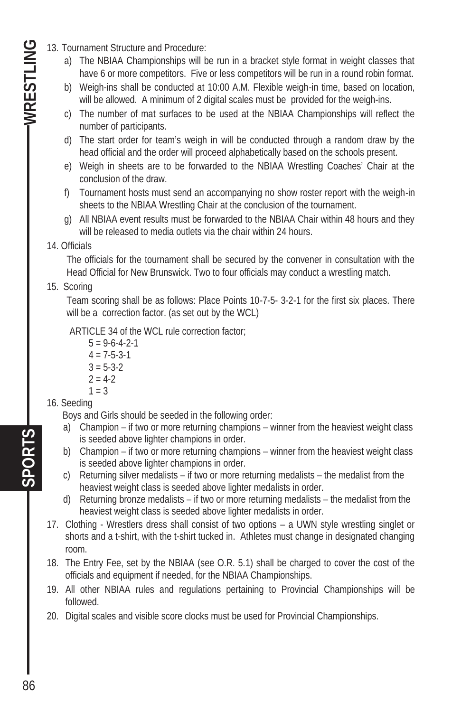- 13. Tournament Structure and Procedure:
	- a) The NBIAA Championships will be run in a bracket style format in weight classes that have 6 or more competitors. Five or less competitors will be run in a round robin format.
	- b) Weigh-ins shall be conducted at 10:00 A.M. Flexible weigh-in time, based on location, will be allowed. A minimum of 2 digital scales must be provided for the weigh-ins.
	- c) The number of mat surfaces to be used at the NBIAA Championships will reflect the number of participants.
	- d) The start order for team's weigh in will be conducted through a random draw by the head official and the order will proceed alphabetically based on the schools present.
	- e) Weigh in sheets are to be forwarded to the NBIAA Wrestling Coaches' Chair at the conclusion of the draw.
	- f) Tournament hosts must send an accompanying no show roster report with the weigh-in sheets to the NBIAA Wrestling Chair at the conclusion of the tournament.
	- g) All NBIAA event results must be forwarded to the NBIAA Chair within 48 hours and they will be released to media outlets via the chair within 24 hours.
	- 14. Officials

The officials for the tournament shall be secured by the convener in consultation with the Head Official for New Brunswick. Two to four officials may conduct a wrestling match.

#### 15. Scoring

 Team scoring shall be as follows: Place Points 10-7-5- 3-2-1 for the first six places. There will be a correction factor. (as set out by the WCL)

ARTICLE 34 of the WCL rule correction factor;

- $5 = 9 6 4 2 1$  $4 = 7 - 5 - 3 - 1$  $3 = 5 - 3 - 2$  $2 = 4-2$  $1 = 3$
- 16. Seeding

Boys and Girls should be seeded in the following order:

- a) Champion if two or more returning champions winner from the heaviest weight class is seeded above lighter champions in order.
- b) Champion if two or more returning champions winner from the heaviest weight class is seeded above lighter champions in order.
- c) Returning silver medalists if two or more returning medalists the medalist from the heaviest weight class is seeded above lighter medalists in order.
- d) Returning bronze medalists if two or more returning medalists the medalist from the heaviest weight class is seeded above lighter medalists in order.
- 17. Clothing Wrestlers dress shall consist of two options a UWN style wrestling singlet or shorts and a t-shirt, with the t-shirt tucked in. Athletes must change in designated changing room.
- 18. The Entry Fee, set by the NBIAA (see O.R. 5.1) shall be charged to cover the cost of the officials and equipment if needed, for the NBIAA Championships.
- 19. All other NBIAA rules and regulations pertaining to Provincial Championships will be followed.
- 20. Digital scales and visible score clocks must be used for Provincial Championships.